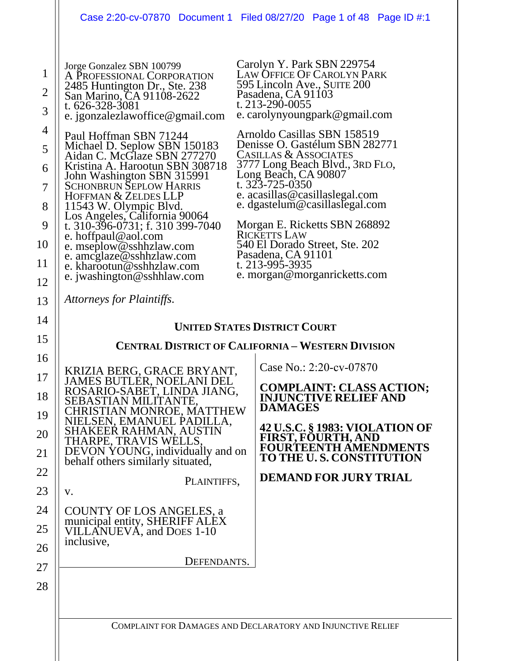|                                                                                                                                                                                                                                                                                                                                                                                                                                                                                                                                                                                                                                         | Case 2:20-cv-07870 Document 1 Filed 08/27/20 Page 1 of 48 Page ID #:1                                                                                                                                                                                                                                                                                                                                                                                                                                                                                                                       |  |
|-----------------------------------------------------------------------------------------------------------------------------------------------------------------------------------------------------------------------------------------------------------------------------------------------------------------------------------------------------------------------------------------------------------------------------------------------------------------------------------------------------------------------------------------------------------------------------------------------------------------------------------------|---------------------------------------------------------------------------------------------------------------------------------------------------------------------------------------------------------------------------------------------------------------------------------------------------------------------------------------------------------------------------------------------------------------------------------------------------------------------------------------------------------------------------------------------------------------------------------------------|--|
| Jorge Gonzalez SBN 100799<br>A PROFESSIONAL CORPORATION<br>2485 Huntington Dr., Ste. 238<br>San Marino, CA 91108-2622<br>t. 626-328-3081<br>e. jgonzalezlawoffice@gmail.com<br>Paul Hoffman SBN 71244<br>Michael D. Seplow SBN 150183<br>Aidan C. McGlaze SBN 277270<br>Kristina A. Harootun SBN 308718<br>John Washington SBN 315991<br><b>SCHONBRUN SEPLOW HARRIS</b><br>HOFFMAN & ZELDES LLP<br>11543 W. Olympic Blvd.<br>Los Angeles, California 90064<br>t. 310-396-0731; f. 310 399-7040<br>e. hoffpaul@aol.com<br>e. mseplow@sshhzlaw.com<br>e. amcglaze@sshhzlaw.com<br>e. kharootun@sshhzlaw.com<br>e. jwashington@sshhlaw.com | Carolyn Y. Park SBN 229754<br>LAW OFFICE OF CAROLYN PARK<br>595 Lincoln Ave., SUITE 200<br>Pasadena, CA 91103<br>t. 213-290-0055<br>e. carolynyoungpark@gmail.com<br>Arnoldo Casillas SBN 158519<br>Denisse O. Gastélum SBN 282771<br><b>CASILLAS &amp; ASSOCIATES</b><br>3777 Long Beach Blvd., 3RD FLO,<br>Long Beach, CA 90807<br>t. 323-725-0350<br>e. acasillas@casillaslegal.com<br>e. dgastelum@casillaslegal.com<br>Morgan E. Ricketts SBN 268892<br><b>RICKETTS LAW</b><br>540 El Dorado Street, Ste. 202<br>Pasadena, CA 91101<br>t. 213-995-3935<br>e. morgan@morganricketts.com |  |
| Attorneys for Plaintiffs.                                                                                                                                                                                                                                                                                                                                                                                                                                                                                                                                                                                                               |                                                                                                                                                                                                                                                                                                                                                                                                                                                                                                                                                                                             |  |
| <b>UNITED STATES DISTRICT COURT</b>                                                                                                                                                                                                                                                                                                                                                                                                                                                                                                                                                                                                     |                                                                                                                                                                                                                                                                                                                                                                                                                                                                                                                                                                                             |  |
| <b>CENTRAL DISTRICT OF CALIFORNIA - WESTERN DIVISION</b>                                                                                                                                                                                                                                                                                                                                                                                                                                                                                                                                                                                |                                                                                                                                                                                                                                                                                                                                                                                                                                                                                                                                                                                             |  |
| KRIZIA BERG, GRACE BRYANT,<br><b>JAMES BUTLER, NOELANI DEL</b><br>ROSARIO-SABET, LINDA JIANG,<br>SEBASTIAN MILITANTE,<br>CHRISTIAN MONROE, MATTHEW<br>NIELSEN, EMANUEL PADILLA,<br>SHAKEER RAHMAN, AUSTIN<br>THARPE, TRAVIS WELLS,<br>DEVON YOUNG, individually and on<br>behalf others similarly situated,<br>V.<br>COUNTY OF LOS ANGELES, a<br>municipal entity, SHERIFF ALÉX<br>VILLANUEVA, and DOES 1-10<br>inclusive,                                                                                                                                                                                                              | Case No.: 2:20-cv-07870<br><b>COMPLAINT: CLASS ACTION;</b><br><b>INJUNCTIVE RELIEF AND</b><br><b>DAMAGES</b><br><b>42 U.S.C. § 1983: VIOLATION OF</b><br><b>FIRST, FOURTH, AND</b><br><b>FOURTEENTH AMENDMENTS</b><br>TO THE U.S. CONSTITUTION<br><b>DEMAND FOR JURY TRIAL</b><br>PLAINTIFFS,                                                                                                                                                                                                                                                                                               |  |
|                                                                                                                                                                                                                                                                                                                                                                                                                                                                                                                                                                                                                                         | DEFENDANTS.                                                                                                                                                                                                                                                                                                                                                                                                                                                                                                                                                                                 |  |
|                                                                                                                                                                                                                                                                                                                                                                                                                                                                                                                                                                                                                                         | COMPLAINT FOR DAMAGES AND DECLARATORY AND INJUNCTIVE RELIEF                                                                                                                                                                                                                                                                                                                                                                                                                                                                                                                                 |  |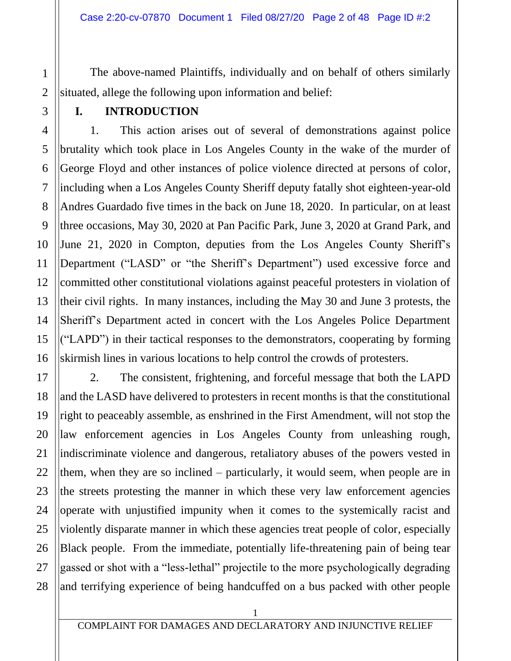The above-named Plaintiffs, individually and on behalf of others similarly situated, allege the following upon information and belief:

1

### **I. INTRODUCTION**

1. This action arises out of several of demonstrations against police brutality which took place in Los Angeles County in the wake of the murder of George Floyd and other instances of police violence directed at persons of color, including when a Los Angeles County Sheriff deputy fatally shot eighteen-year-old Andres Guardado five times in the back on June 18, 2020. In particular, on at least three occasions, May 30, 2020 at Pan Pacific Park, June 3, 2020 at Grand Park, and June 21, 2020 in Compton, deputies from the Los Angeles County Sheriff's Department ("LASD" or "the Sheriff's Department") used excessive force and committed other constitutional violations against peaceful protesters in violation of their civil rights. In many instances, including the May 30 and June 3 protests, the Sheriff's Department acted in concert with the Los Angeles Police Department ("LAPD") in their tactical responses to the demonstrators, cooperating by forming skirmish lines in various locations to help control the crowds of protesters.

2. The consistent, frightening, and forceful message that both the LAPD and the LASD have delivered to protesters in recent months is that the constitutional right to peaceably assemble, as enshrined in the First Amendment, will not stop the law enforcement agencies in Los Angeles County from unleashing rough, indiscriminate violence and dangerous, retaliatory abuses of the powers vested in them, when they are so inclined – particularly, it would seem, when people are in the streets protesting the manner in which these very law enforcement agencies operate with unjustified impunity when it comes to the systemically racist and violently disparate manner in which these agencies treat people of color, especially Black people. From the immediate, potentially life-threatening pain of being tear gassed or shot with a "less-lethal" projectile to the more psychologically degrading and terrifying experience of being handcuffed on a bus packed with other people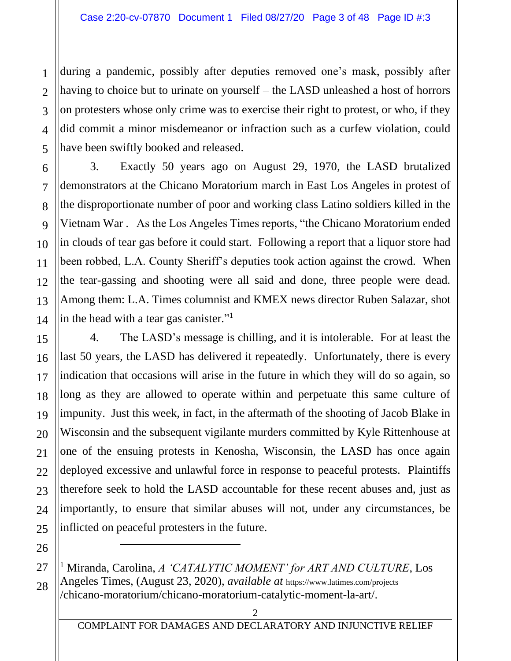during a pandemic, possibly after deputies removed one's mask, possibly after having to choice but to urinate on yourself – the LASD unleashed a host of horrors on protesters whose only crime was to exercise their right to protest, or who, if they did commit a minor misdemeanor or infraction such as a curfew violation, could have been swiftly booked and released.

3. Exactly 50 years ago on August 29, 1970, the LASD brutalized demonstrators at the Chicano Moratorium march in East Los Angeles in protest of the disproportionate number of poor and working class Latino soldiers killed in the Vietnam War . As the Los Angeles Times reports, "the Chicano Moratorium ended in clouds of tear gas before it could start. Following a report that a liquor store had been robbed, L.A. County Sheriff's deputies took action against the crowd. When the tear-gassing and shooting were all said and done, three people were dead. Among them: L.A. Times columnist and KMEX news director Ruben Salazar, shot in the head with a tear gas canister."<sup>1</sup>

4. The LASD's message is chilling, and it is intolerable. For at least the last 50 years, the LASD has delivered it repeatedly. Unfortunately, there is every indication that occasions will arise in the future in which they will do so again, so long as they are allowed to operate within and perpetuate this same culture of impunity. Just this week, in fact, in the aftermath of the shooting of Jacob Blake in Wisconsin and the subsequent vigilante murders committed by Kyle Rittenhouse at one of the ensuing protests in Kenosha, Wisconsin, the LASD has once again deployed excessive and unlawful force in response to peaceful protests. Plaintiffs therefore seek to hold the LASD accountable for these recent abuses and, just as importantly, to ensure that similar abuses will not, under any circumstances, be inflicted on peaceful protesters in the future.

<sup>1</sup> Miranda, Carolina, *A 'CATALYTIC MOMENT' for ART AND CULTURE*, Los Angeles Times, (August 23, 2020), *available at* https://www.latimes.com/projects /chicano-moratorium/chicano-moratorium-catalytic-moment-la-art/.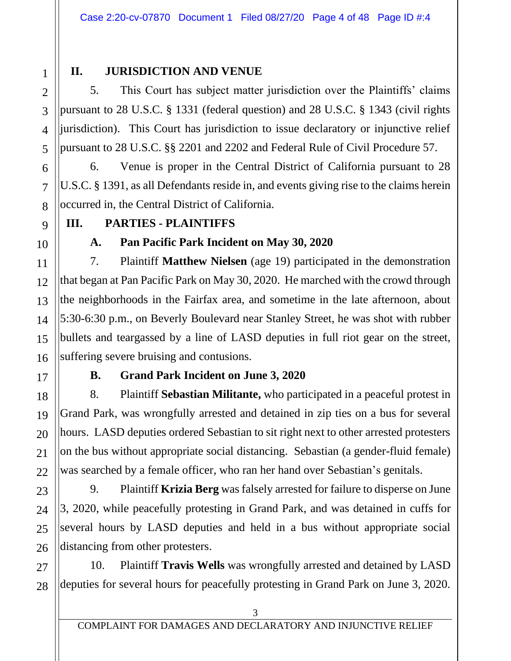1 2 3

## **II. JURISDICTION AND VENUE**

5. This Court has subject matter jurisdiction over the Plaintiffs' claims pursuant to 28 U.S.C. § 1331 (federal question) and 28 U.S.C. § 1343 (civil rights jurisdiction). This Court has jurisdiction to issue declaratory or injunctive relief pursuant to 28 U.S.C. §§ 2201 and 2202 and Federal Rule of Civil Procedure 57.

6. Venue is proper in the Central District of California pursuant to 28 U.S.C. § 1391, as all Defendants reside in, and events giving rise to the claims herein occurred in, the Central District of California.

## **III. PARTIES - PLAINTIFFS**

## **A. Pan Pacific Park Incident on May 30, 2020**

7. Plaintiff **Matthew Nielsen** (age 19) participated in the demonstration that began at Pan Pacific Park on May 30, 2020. He marched with the crowd through the neighborhoods in the Fairfax area, and sometime in the late afternoon, about 5:30-6:30 p.m., on Beverly Boulevard near Stanley Street, he was shot with rubber bullets and teargassed by a line of LASD deputies in full riot gear on the street, suffering severe bruising and contusions.

## **B. Grand Park Incident on June 3, 2020**

8. Plaintiff **Sebastian Militante,** who participated in a peaceful protest in Grand Park, was wrongfully arrested and detained in zip ties on a bus for several hours. LASD deputies ordered Sebastian to sit right next to other arrested protesters on the bus without appropriate social distancing. Sebastian (a gender-fluid female) was searched by a female officer, who ran her hand over Sebastian's genitals.

9. Plaintiff **Krizia Berg** was falsely arrested for failure to disperse on June 3, 2020, while peacefully protesting in Grand Park, and was detained in cuffs for several hours by LASD deputies and held in a bus without appropriate social distancing from other protesters.

10. Plaintiff **Travis Wells** was wrongfully arrested and detained by LASD deputies for several hours for peacefully protesting in Grand Park on June 3, 2020.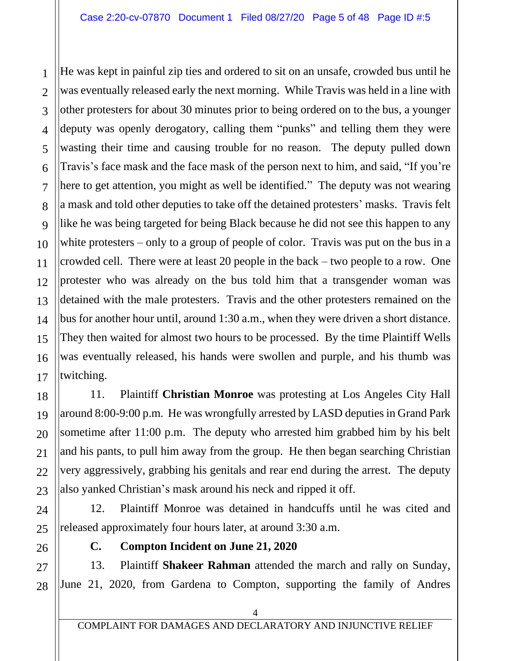He was kept in painful zip ties and ordered to sit on an unsafe, crowded bus until he was eventually released early the next morning. While Travis was held in a line with other protesters for about 30 minutes prior to being ordered on to the bus, a younger deputy was openly derogatory, calling them "punks" and telling them they were wasting their time and causing trouble for no reason. The deputy pulled down Travis's face mask and the face mask of the person next to him, and said, "If you're here to get attention, you might as well be identified." The deputy was not wearing a mask and told other deputies to take off the detained protesters' masks. Travis felt like he was being targeted for being Black because he did not see this happen to any white protesters – only to a group of people of color. Travis was put on the bus in a crowded cell. There were at least 20 people in the back – two people to a row. One protester who was already on the bus told him that a transgender woman was detained with the male protesters. Travis and the other protesters remained on the bus for another hour until, around 1:30 a.m., when they were driven a short distance. They then waited for almost two hours to be processed. By the time Plaintiff Wells was eventually released, his hands were swollen and purple, and his thumb was twitching.

11. Plaintiff **Christian Monroe** was protesting at Los Angeles City Hall around 8:00-9:00 p.m. He was wrongfully arrested by LASD deputies in Grand Park sometime after 11:00 p.m. The deputy who arrested him grabbed him by his belt and his pants, to pull him away from the group. He then began searching Christian very aggressively, grabbing his genitals and rear end during the arrest. The deputy also yanked Christian's mask around his neck and ripped it off.

12. Plaintiff Monroe was detained in handcuffs until he was cited and released approximately four hours later, at around 3:30 a.m.

- 
- **C. Compton Incident on June 21, 2020**

13. Plaintiff **Shakeer Rahman** attended the march and rally on Sunday, June 21, 2020, from Gardena to Compton, supporting the family of Andres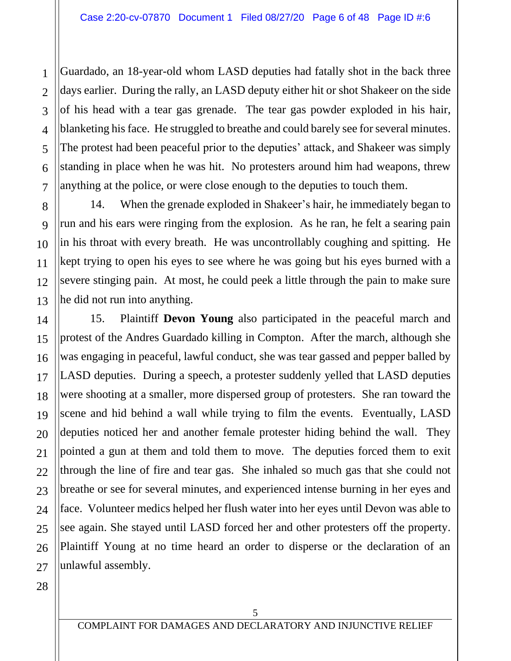Guardado, an 18-year-old whom LASD deputies had fatally shot in the back three days earlier. During the rally, an LASD deputy either hit or shot Shakeer on the side of his head with a tear gas grenade. The tear gas powder exploded in his hair, blanketing his face. He struggled to breathe and could barely see for several minutes. The protest had been peaceful prior to the deputies' attack, and Shakeer was simply standing in place when he was hit. No protesters around him had weapons, threw anything at the police, or were close enough to the deputies to touch them.

14. When the grenade exploded in Shakeer's hair, he immediately began to run and his ears were ringing from the explosion. As he ran, he felt a searing pain in his throat with every breath. He was uncontrollably coughing and spitting. He kept trying to open his eyes to see where he was going but his eyes burned with a severe stinging pain. At most, he could peek a little through the pain to make sure he did not run into anything.

15. Plaintiff **Devon Young** also participated in the peaceful march and protest of the Andres Guardado killing in Compton. After the march, although she was engaging in peaceful, lawful conduct, she was tear gassed and pepper balled by LASD deputies. During a speech, a protester suddenly yelled that LASD deputies were shooting at a smaller, more dispersed group of protesters. She ran toward the scene and hid behind a wall while trying to film the events. Eventually, LASD deputies noticed her and another female protester hiding behind the wall. They pointed a gun at them and told them to move. The deputies forced them to exit through the line of fire and tear gas. She inhaled so much gas that she could not breathe or see for several minutes, and experienced intense burning in her eyes and face. Volunteer medics helped her flush water into her eyes until Devon was able to see again. She stayed until LASD forced her and other protesters off the property. Plaintiff Young at no time heard an order to disperse or the declaration of an unlawful assembly.

1

2

3

4

5

6

7

8

9

10

11

12

13

14

15

16

17

18

19

20

21

22

23

24

25

26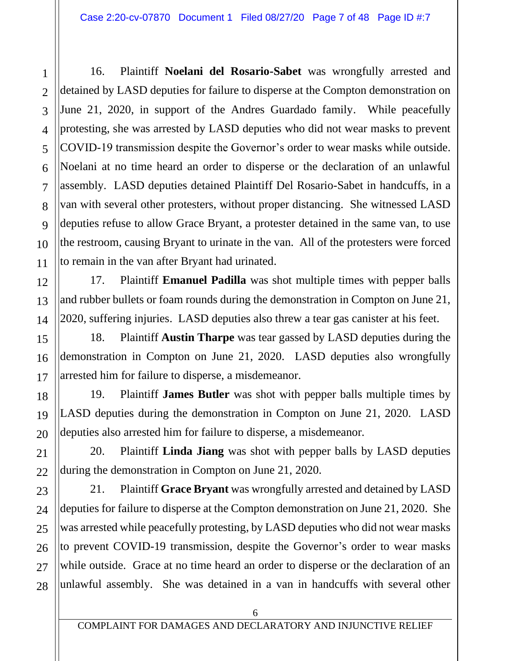16. Plaintiff **Noelani del Rosario-Sabet** was wrongfully arrested and detained by LASD deputies for failure to disperse at the Compton demonstration on June 21, 2020, in support of the Andres Guardado family. While peacefully protesting, she was arrested by LASD deputies who did not wear masks to prevent COVID-19 transmission despite the Governor's order to wear masks while outside. Noelani at no time heard an order to disperse or the declaration of an unlawful assembly. LASD deputies detained Plaintiff Del Rosario-Sabet in handcuffs, in a van with several other protesters, without proper distancing. She witnessed LASD deputies refuse to allow Grace Bryant, a protester detained in the same van, to use the restroom, causing Bryant to urinate in the van. All of the protesters were forced to remain in the van after Bryant had urinated.

17. Plaintiff **Emanuel Padilla** was shot multiple times with pepper balls and rubber bullets or foam rounds during the demonstration in Compton on June 21, 2020, suffering injuries. LASD deputies also threw a tear gas canister at his feet.

18. Plaintiff **Austin Tharpe** was tear gassed by LASD deputies during the demonstration in Compton on June 21, 2020. LASD deputies also wrongfully arrested him for failure to disperse, a misdemeanor.

19. Plaintiff **James Butler** was shot with pepper balls multiple times by LASD deputies during the demonstration in Compton on June 21, 2020. LASD deputies also arrested him for failure to disperse, a misdemeanor.

20. Plaintiff **Linda Jiang** was shot with pepper balls by LASD deputies during the demonstration in Compton on June 21, 2020.

21. Plaintiff **Grace Bryant** was wrongfully arrested and detained by LASD deputies for failure to disperse at the Compton demonstration on June 21, 2020. She was arrested while peacefully protesting, by LASD deputies who did not wear masks to prevent COVID-19 transmission, despite the Governor's order to wear masks while outside. Grace at no time heard an order to disperse or the declaration of an unlawful assembly. She was detained in a van in handcuffs with several other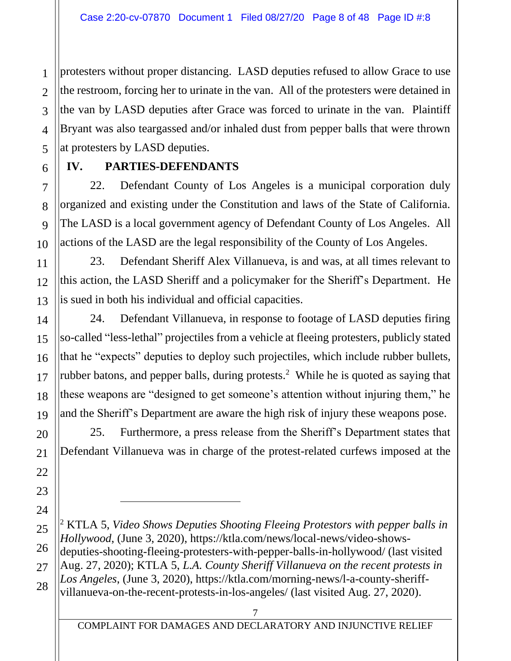protesters without proper distancing. LASD deputies refused to allow Grace to use the restroom, forcing her to urinate in the van. All of the protesters were detained in the van by LASD deputies after Grace was forced to urinate in the van. Plaintiff Bryant was also teargassed and/or inhaled dust from pepper balls that were thrown at protesters by LASD deputies.

## **IV. PARTIES-DEFENDANTS**

22. Defendant County of Los Angeles is a municipal corporation duly organized and existing under the Constitution and laws of the State of California. The LASD is a local government agency of Defendant County of Los Angeles. All actions of the LASD are the legal responsibility of the County of Los Angeles.

23. Defendant Sheriff Alex Villanueva, is and was, at all times relevant to this action, the LASD Sheriff and a policymaker for the Sheriff's Department. He is sued in both his individual and official capacities.

24. Defendant Villanueva, in response to footage of LASD deputies firing so-called "less-lethal" projectiles from a vehicle at fleeing protesters, publicly stated that he "expects" deputies to deploy such projectiles, which include rubber bullets, rubber batons, and pepper balls, during protests. <sup>2</sup> While he is quoted as saying that these weapons are "designed to get someone's attention without injuring them," he and the Sheriff's Department are aware the high risk of injury these weapons pose.

25. Furthermore, a press release from the Sheriff's Department states that Defendant Villanueva was in charge of the protest-related curfews imposed at the

<sup>2</sup> KTLA 5, *Video Shows Deputies Shooting Fleeing Protestors with pepper balls in Hollywood*, (June 3, 2020), https://ktla.com/news/local-news/video-showsdeputies-shooting-fleeing-protesters-with-pepper-balls-in-hollywood/ (last visited Aug. 27, 2020); KTLA 5, *L.A. County Sheriff Villanueva on the recent protests in Los Angeles*, (June 3, 2020), https://ktla.com/morning-news/l-a-county-sheriffvillanueva-on-the-recent-protests-in-los-angeles/ (last visited Aug. 27, 2020).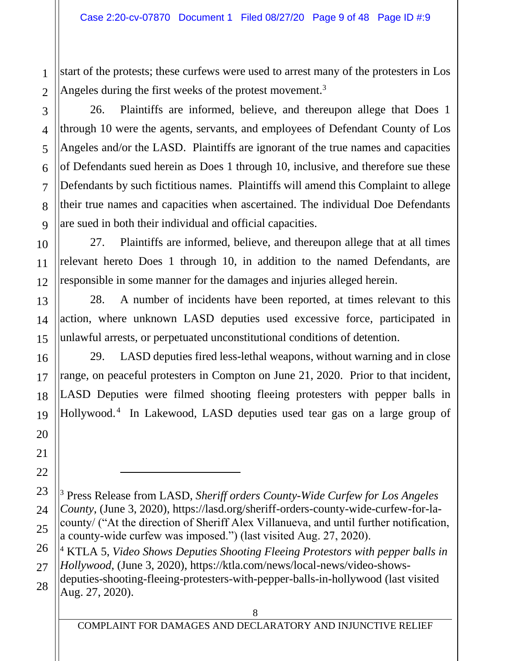start of the protests; these curfews were used to arrest many of the protesters in Los Angeles during the first weeks of the protest movement.<sup>3</sup>

26. Plaintiffs are informed, believe, and thereupon allege that Does 1 through 10 were the agents, servants, and employees of Defendant County of Los Angeles and/or the LASD. Plaintiffs are ignorant of the true names and capacities of Defendants sued herein as Does 1 through 10, inclusive, and therefore sue these Defendants by such fictitious names. Plaintiffs will amend this Complaint to allege their true names and capacities when ascertained. The individual Doe Defendants are sued in both their individual and official capacities.

27. Plaintiffs are informed, believe, and thereupon allege that at all times relevant hereto Does 1 through 10, in addition to the named Defendants, are responsible in some manner for the damages and injuries alleged herein.

28. A number of incidents have been reported, at times relevant to this action, where unknown LASD deputies used excessive force, participated in unlawful arrests, or perpetuated unconstitutional conditions of detention.

29. LASD deputies fired less-lethal weapons, without warning and in close range, on peaceful protesters in Compton on June 21, 2020. Prior to that incident, LASD Deputies were filmed shooting fleeing protesters with pepper balls in Hollywood.<sup>4</sup> In Lakewood, LASD deputies used tear gas on a large group of

<sup>3</sup> Press Release from LASD, *Sheriff orders County-Wide Curfew for Los Angeles County*, (June 3, 2020), https://lasd.org/sheriff-orders-county-wide-curfew-for-lacounty/ ("At the direction of Sheriff Alex Villanueva, and until further notification, a county-wide curfew was imposed.") (last visited Aug. 27, 2020).

<sup>4</sup> KTLA 5, *Video Shows Deputies Shooting Fleeing Protestors with pepper balls in Hollywood*, (June 3, 2020), https://ktla.com/news/local-news/video-shows-

deputies-shooting-fleeing-protesters-with-pepper-balls-in-hollywood (last visited Aug. 27, 2020).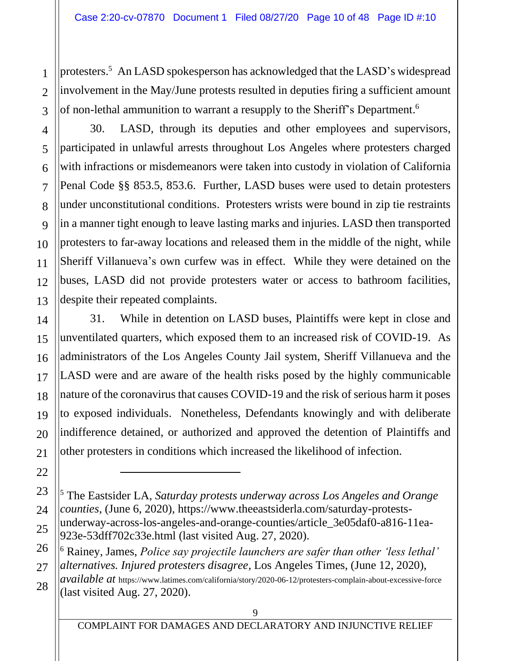protesters.<sup>5</sup> An LASD spokesperson has acknowledged that the LASD's widespread involvement in the May/June protests resulted in deputies firing a sufficient amount of non-lethal ammunition to warrant a resupply to the Sheriff's Department.<sup>6</sup>

30. LASD, through its deputies and other employees and supervisors, participated in unlawful arrests throughout Los Angeles where protesters charged with infractions or misdemeanors were taken into custody in violation of California Penal Code §§ 853.5, 853.6. Further, LASD buses were used to detain protesters under unconstitutional conditions. Protesters wrists were bound in zip tie restraints in a manner tight enough to leave lasting marks and injuries. LASD then transported protesters to far-away locations and released them in the middle of the night, while Sheriff Villanueva's own curfew was in effect. While they were detained on the buses, LASD did not provide protesters water or access to bathroom facilities, despite their repeated complaints.

31. While in detention on LASD buses, Plaintiffs were kept in close and unventilated quarters, which exposed them to an increased risk of COVID-19. As administrators of the Los Angeles County Jail system, Sheriff Villanueva and the LASD were and are aware of the health risks posed by the highly communicable nature of the coronavirus that causes COVID-19 and the risk of serious harm it poses to exposed individuals. Nonetheless, Defendants knowingly and with deliberate indifference detained, or authorized and approved the detention of Plaintiffs and other protesters in conditions which increased the likelihood of infection.

<sup>6</sup> Rainey, James, *Police say projectile launchers are safer than other 'less lethal' alternatives. Injured protesters disagree*, Los Angeles Times, (June 12, 2020),

*available at* https://www.latimes.com/california/story/2020-06-12/protesters-complain-about-excessive-force (last visited Aug. 27, 2020).

<sup>5</sup> The Eastsider LA, *Saturday protests underway across Los Angeles and Orange counties*, (June 6, 2020), https://www.theeastsiderla.com/saturday-protestsunderway-across-los-angeles-and-orange-counties/article\_3e05daf0-a816-11ea-923e-53dff702c33e.html (last visited Aug. 27, 2020).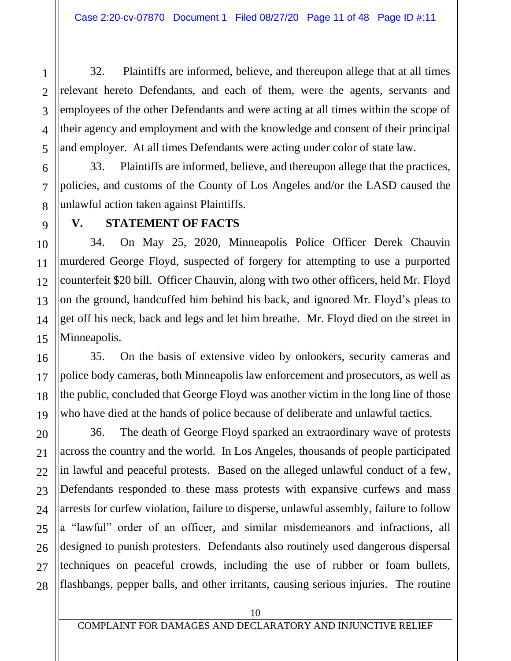32. Plaintiffs are informed, believe, and thereupon allege that at all times relevant hereto Defendants, and each of them, were the agents, servants and employees of the other Defendants and were acting at all times within the scope of their agency and employment and with the knowledge and consent of their principal and employer. At all times Defendants were acting under color of state law.

33. Plaintiffs are informed, believe, and thereupon allege that the practices, policies, and customs of the County of Los Angeles and/or the LASD caused the unlawful action taken against Plaintiffs.

#### **V. STATEMENT OF FACTS**

34. On May 25, 2020, Minneapolis Police Officer Derek Chauvin murdered George Floyd, suspected of forgery for attempting to use a purported counterfeit \$20 bill. Officer Chauvin, along with two other officers, held Mr. Floyd on the ground, handcuffed him behind his back, and ignored Mr. Floyd's pleas to get off his neck, back and legs and let him breathe. Mr. Floyd died on the street in Minneapolis.

35. On the basis of extensive video by onlookers, security cameras and police body cameras, both Minneapolis law enforcement and prosecutors, as well as the public, concluded that George Floyd was another victim in the long line of those who have died at the hands of police because of deliberate and unlawful tactics.

36. The death of George Floyd sparked an extraordinary wave of protests across the country and the world. In Los Angeles, thousands of people participated in lawful and peaceful protests. Based on the alleged unlawful conduct of a few, Defendants responded to these mass protests with expansive curfews and mass arrests for curfew violation, failure to disperse, unlawful assembly, failure to follow a "lawful" order of an officer, and similar misdemeanors and infractions, all designed to punish protesters. Defendants also routinely used dangerous dispersal techniques on peaceful crowds, including the use of rubber or foam bullets, flashbangs, pepper balls, and other irritants, causing serious injuries. The routine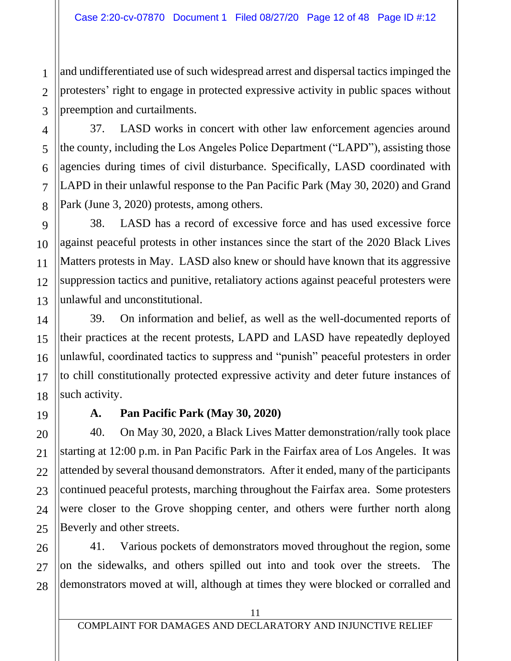and undifferentiated use of such widespread arrest and dispersal tactics impinged the protesters' right to engage in protected expressive activity in public spaces without preemption and curtailments.

37. LASD works in concert with other law enforcement agencies around the county, including the Los Angeles Police Department ("LAPD"), assisting those agencies during times of civil disturbance. Specifically, LASD coordinated with LAPD in their unlawful response to the Pan Pacific Park (May 30, 2020) and Grand Park (June 3, 2020) protests, among others.

38. LASD has a record of excessive force and has used excessive force against peaceful protests in other instances since the start of the 2020 Black Lives Matters protests in May. LASD also knew or should have known that its aggressive suppression tactics and punitive, retaliatory actions against peaceful protesters were unlawful and unconstitutional.

39. On information and belief, as well as the well-documented reports of their practices at the recent protests, LAPD and LASD have repeatedly deployed unlawful, coordinated tactics to suppress and "punish" peaceful protesters in order to chill constitutionally protected expressive activity and deter future instances of such activity.

## **A. Pan Pacific Park (May 30, 2020)**

40. On May 30, 2020, a Black Lives Matter demonstration/rally took place starting at 12:00 p.m. in Pan Pacific Park in the Fairfax area of Los Angeles. It was attended by several thousand demonstrators. After it ended, many of the participants continued peaceful protests, marching throughout the Fairfax area. Some protesters were closer to the Grove shopping center, and others were further north along Beverly and other streets.

26 27 28 41. Various pockets of demonstrators moved throughout the region, some on the sidewalks, and others spilled out into and took over the streets. The demonstrators moved at will, although at times they were blocked or corralled and

1

2

3

4

5

6

7

8

9

10

11

12

13

14

15

16

17

18

19

20

21

22

23

24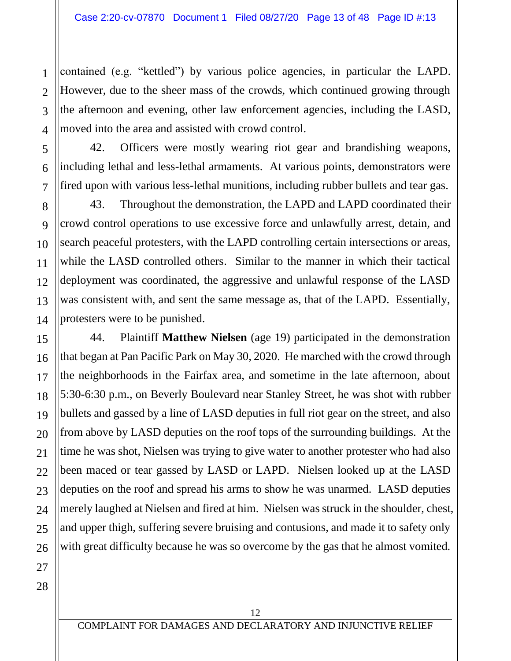contained (e.g. "kettled") by various police agencies, in particular the LAPD. However, due to the sheer mass of the crowds, which continued growing through the afternoon and evening, other law enforcement agencies, including the LASD, moved into the area and assisted with crowd control.

42. Officers were mostly wearing riot gear and brandishing weapons, including lethal and less-lethal armaments. At various points, demonstrators were fired upon with various less-lethal munitions, including rubber bullets and tear gas.

43. Throughout the demonstration, the LAPD and LAPD coordinated their crowd control operations to use excessive force and unlawfully arrest, detain, and search peaceful protesters, with the LAPD controlling certain intersections or areas, while the LASD controlled others. Similar to the manner in which their tactical deployment was coordinated, the aggressive and unlawful response of the LASD was consistent with, and sent the same message as, that of the LAPD. Essentially, protesters were to be punished.

44. Plaintiff **Matthew Nielsen** (age 19) participated in the demonstration that began at Pan Pacific Park on May 30, 2020. He marched with the crowd through the neighborhoods in the Fairfax area, and sometime in the late afternoon, about 5:30-6:30 p.m., on Beverly Boulevard near Stanley Street, he was shot with rubber bullets and gassed by a line of LASD deputies in full riot gear on the street, and also from above by LASD deputies on the roof tops of the surrounding buildings. At the time he was shot, Nielsen was trying to give water to another protester who had also been maced or tear gassed by LASD or LAPD. Nielsen looked up at the LASD deputies on the roof and spread his arms to show he was unarmed. LASD deputies merely laughed at Nielsen and fired at him. Nielsen was struck in the shoulder, chest, and upper thigh, suffering severe bruising and contusions, and made it to safety only with great difficulty because he was so overcome by the gas that he almost vomited.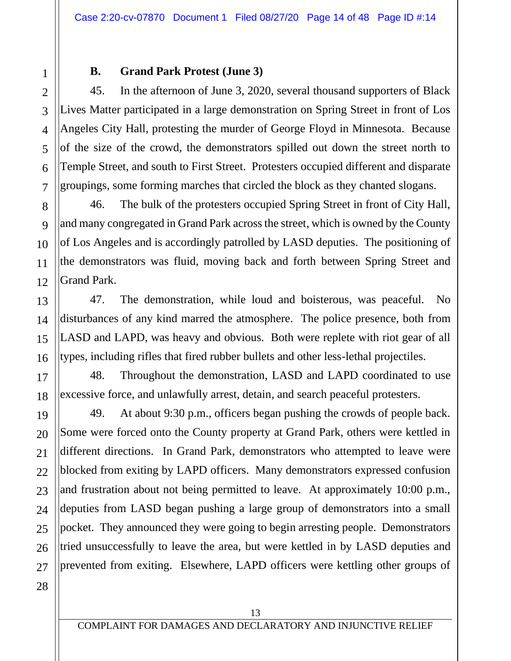#### **B. Grand Park Protest (June 3)**

45. In the afternoon of June 3, 2020, several thousand supporters of Black Lives Matter participated in a large demonstration on Spring Street in front of Los Angeles City Hall, protesting the murder of George Floyd in Minnesota. Because of the size of the crowd, the demonstrators spilled out down the street north to Temple Street, and south to First Street. Protesters occupied different and disparate groupings, some forming marches that circled the block as they chanted slogans.

46. The bulk of the protesters occupied Spring Street in front of City Hall, and many congregated in Grand Park across the street, which is owned by the County of Los Angeles and is accordingly patrolled by LASD deputies. The positioning of the demonstrators was fluid, moving back and forth between Spring Street and Grand Park.

47. The demonstration, while loud and boisterous, was peaceful. No disturbances of any kind marred the atmosphere. The police presence, both from LASD and LAPD, was heavy and obvious. Both were replete with riot gear of all types, including rifles that fired rubber bullets and other less-lethal projectiles.

48. Throughout the demonstration, LASD and LAPD coordinated to use excessive force, and unlawfully arrest, detain, and search peaceful protesters.

49. At about 9:30 p.m., officers began pushing the crowds of people back. Some were forced onto the County property at Grand Park, others were kettled in different directions. In Grand Park, demonstrators who attempted to leave were blocked from exiting by LAPD officers. Many demonstrators expressed confusion and frustration about not being permitted to leave. At approximately 10:00 p.m., deputies from LASD began pushing a large group of demonstrators into a small pocket. They announced they were going to begin arresting people. Demonstrators tried unsuccessfully to leave the area, but were kettled in by LASD deputies and prevented from exiting. Elsewhere, LAPD officers were kettling other groups of

28

1

2

3

4

5

6

7

8

9

10

11

12

13

14

15

16

17

18

19

20

21

22

23

24

25

26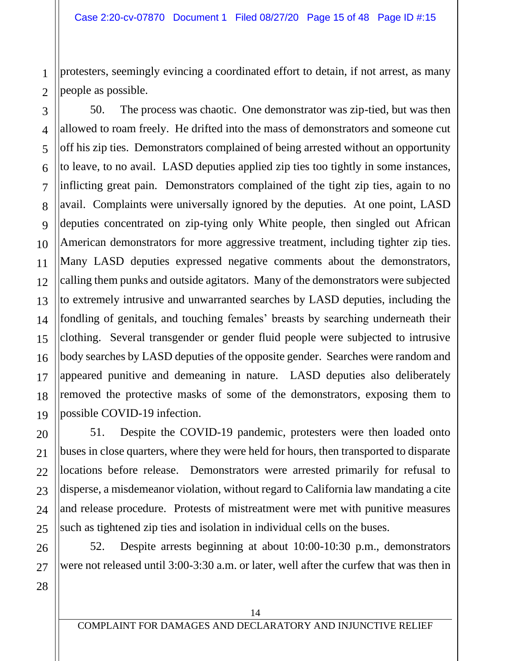protesters, seemingly evincing a coordinated effort to detain, if not arrest, as many people as possible.

50. The process was chaotic. One demonstrator was zip-tied, but was then allowed to roam freely. He drifted into the mass of demonstrators and someone cut off his zip ties. Demonstrators complained of being arrested without an opportunity to leave, to no avail. LASD deputies applied zip ties too tightly in some instances, inflicting great pain. Demonstrators complained of the tight zip ties, again to no avail. Complaints were universally ignored by the deputies. At one point, LASD deputies concentrated on zip-tying only White people, then singled out African American demonstrators for more aggressive treatment, including tighter zip ties. Many LASD deputies expressed negative comments about the demonstrators, calling them punks and outside agitators. Many of the demonstrators were subjected to extremely intrusive and unwarranted searches by LASD deputies, including the fondling of genitals, and touching females' breasts by searching underneath their clothing. Several transgender or gender fluid people were subjected to intrusive body searches by LASD deputies of the opposite gender. Searches were random and appeared punitive and demeaning in nature. LASD deputies also deliberately removed the protective masks of some of the demonstrators, exposing them to possible COVID-19 infection.

51. Despite the COVID-19 pandemic, protesters were then loaded onto buses in close quarters, where they were held for hours, then transported to disparate locations before release. Demonstrators were arrested primarily for refusal to disperse, a misdemeanor violation, without regard to California law mandating a cite and release procedure. Protests of mistreatment were met with punitive measures such as tightened zip ties and isolation in individual cells on the buses.

52. Despite arrests beginning at about 10:00-10:30 p.m., demonstrators were not released until 3:00-3:30 a.m. or later, well after the curfew that was then in

1

2

3

4

5

6

7

8

9

10

11

12

13

14

15

16

17

18

19

20

21

22

23

24

25

26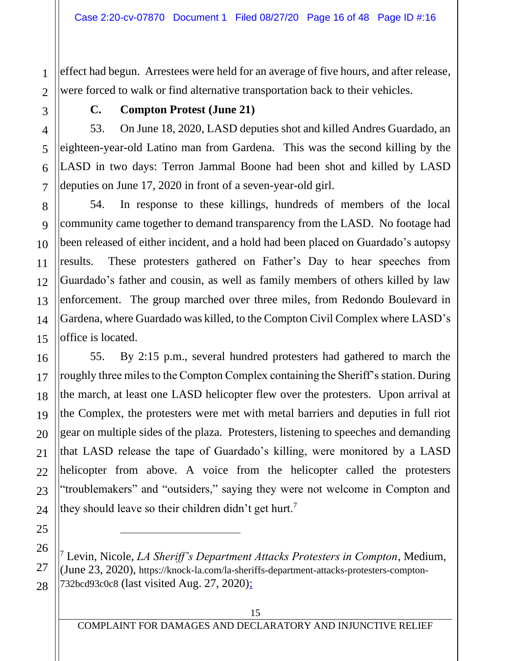effect had begun. Arrestees were held for an average of five hours, and after release, were forced to walk or find alternative transportation back to their vehicles.

1

### **C. Compton Protest (June 21)**

53. On June 18, 2020, LASD deputies shot and killed Andres Guardado, an eighteen-year-old Latino man from Gardena. This was the second killing by the LASD in two days: Terron Jammal Boone had been shot and killed by LASD deputies on June 17, 2020 in front of a seven-year-old girl.

54. In response to these killings, hundreds of members of the local community came together to demand transparency from the LASD. No footage had been released of either incident, and a hold had been placed on Guardado's autopsy results. These protesters gathered on Father's Day to hear speeches from Guardado's father and cousin, as well as family members of others killed by law enforcement. The group marched over three miles, from Redondo Boulevard in Gardena, where Guardado was killed, to the Compton Civil Complex where LASD's office is located.

55. By 2:15 p.m., several hundred protesters had gathered to march the roughly three miles to the Compton Complex containing the Sheriff's station. During the march, at least one LASD helicopter flew over the protesters. Upon arrival at the Complex, the protesters were met with metal barriers and deputies in full riot gear on multiple sides of the plaza. Protesters, listening to speeches and demanding that LASD release the tape of Guardado's killing, were monitored by a LASD helicopter from above. A voice from the helicopter called the protesters "troublemakers" and "outsiders," saying they were not welcome in Compton and they should leave so their children didn't get hurt.<sup>7</sup>

<sup>7</sup> Levin, Nicole, *LA Sheriff's Department Attacks Protesters in Compton*, Medium, (June 23, 2020), https://knock-la.com/la-sheriffs-department-attacks-protesters-compton-732bcd93c0c8 (last visited Aug. 27, 2020);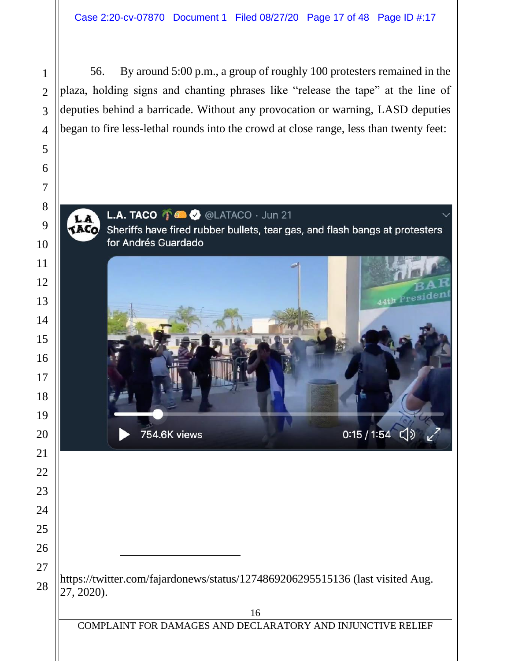56. By around 5:00 p.m., a group of roughly 100 protesters remained in the plaza, holding signs and chanting phrases like "release the tape" at the line of deputies behind a barricade. Without any provocation or warning, LASD deputies began to fire less-lethal rounds into the crowd at close range, less than twenty feet:

## L.A. TACO **T & O** @LATACO · Jun 21

**TACO** Sheriffs have fired rubber bullets, tear gas, and flash bangs at protesters for Andrés Guardado



https://twitter.com/fajardonews/status/1274869206295515136 (last visited Aug. 27, 2020).

LA

COMPLAINT FOR DAMAGES AND DECLARATORY AND INJUNCTIVE RELIEF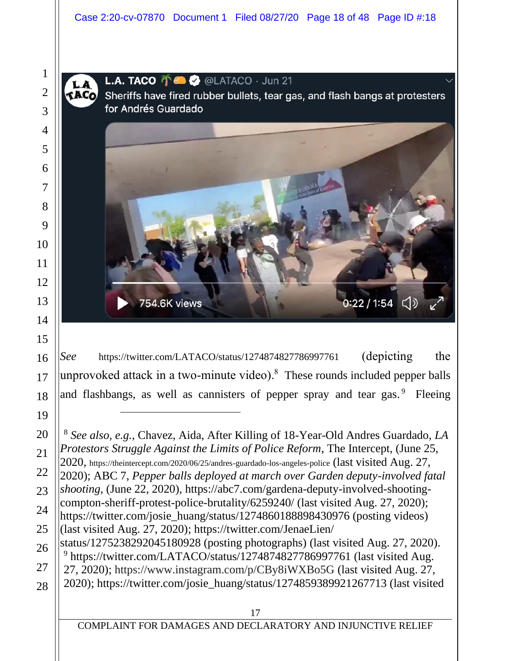**L.A. TACO**  $\bigcap_{n=1}^{\infty}$  **@LATACO**  $\cdot$  Jun 21

**TACO** Sheriffs have fired rubber bullets, tear gas, and flash bangs at protesters for Andrés Guardado



*See* https://twitter.com/LATACO/status/1274874827786997761 (depicting the unprovoked attack in a two-minute video). These rounds included pepper balls and flashbangs, as well as cannisters of pepper spray and tear gas.<sup>9</sup> Fleeing

 *See also, e.g.*, Chavez, Aida, After Killing of 18-Year-Old Andres Guardado, *LA Protestors Struggle Against the Limits of Police Reform*, The Intercept, (June 25, 2020, https://theintercept.com/2020/06/25/andres-guardado-los-angeles-police (last visited Aug. 27, 2020); ABC 7, *Pepper balls deployed at march over Garden deputy-involved fatal shooting*, (June 22, 2020), https://abc7.com/gardena-deputy-involved-shootingcompton-sheriff-protest-police-brutality/6259240/ (last visited Aug. 27, 2020); https://twitter.com/josie\_huang/status/1274860188898430976 (posting videos) (last visited Aug. 27, 2020); https://twitter.com/JenaeLien/ status/1275238292045180928 (posting photographs) (last visited Aug. 27, 2020). https://twitter.com/LATACO/status/1274874827786997761 (last visited Aug. 27, 2020); https://www.instagram.com/p/CBy8iWXBo5G (last visited Aug. 27, 2020); https://twitter.com/josie\_huang/status/1274859389921267713 (last visited

COMPLAINT FOR DAMAGES AND DECLARATORY AND INJUNCTIVE RELIEF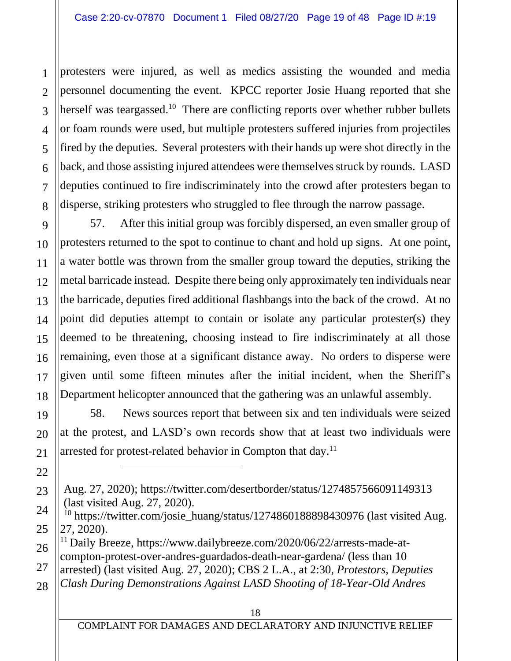protesters were injured, as well as medics assisting the wounded and media personnel documenting the event. KPCC reporter Josie Huang reported that she herself was teargassed.<sup>10</sup> There are conflicting reports over whether rubber bullets or foam rounds were used, but multiple protesters suffered injuries from projectiles fired by the deputies. Several protesters with their hands up were shot directly in the back, and those assisting injured attendees were themselves struck by rounds. LASD deputies continued to fire indiscriminately into the crowd after protesters began to disperse, striking protesters who struggled to flee through the narrow passage.

57. After this initial group was forcibly dispersed, an even smaller group of protesters returned to the spot to continue to chant and hold up signs. At one point, a water bottle was thrown from the smaller group toward the deputies, striking the metal barricade instead. Despite there being only approximately ten individuals near the barricade, deputies fired additional flashbangs into the back of the crowd. At no point did deputies attempt to contain or isolate any particular protester(s) they deemed to be threatening, choosing instead to fire indiscriminately at all those remaining, even those at a significant distance away. No orders to disperse were given until some fifteen minutes after the initial incident, when the Sheriff's Department helicopter announced that the gathering was an unlawful assembly.

58. News sources report that between six and ten individuals were seized at the protest, and LASD's own records show that at least two individuals were arrested for protest-related behavior in Compton that day.<sup>11</sup>

Aug. 27, 2020); https://twitter.com/desertborder/status/1274857566091149313 (last visited Aug. 27, 2020).

<sup>&</sup>lt;sup>10</sup> https://twitter.com/josie\_huang/status/1274860188898430976 (last visited Aug. 27, 2020).

<sup>&</sup>lt;sup>11</sup> Daily Breeze, https://www.dailybreeze.com/2020/06/22/arrests-made-atcompton-protest-over-andres-guardados-death-near-gardena/ (less than 10 arrested) (last visited Aug. 27, 2020); CBS 2 L.A., at 2:30, *Protestors, Deputies* 

*Clash During Demonstrations Against LASD Shooting of 18-Year-Old Andres*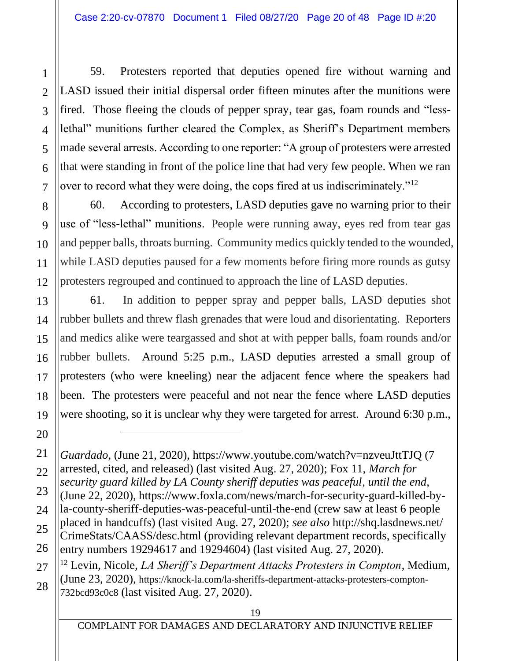59. Protesters reported that deputies opened fire without warning and LASD issued their initial dispersal order fifteen minutes after the munitions were fired. Those fleeing the clouds of pepper spray, tear gas, foam rounds and "lesslethal" munitions further cleared the Complex, as Sheriff's Department members made several arrests. According to one reporter: "A group of protesters were arrested that were standing in front of the police line that had very few people. When we ran over to record what they were doing, the cops fired at us indiscriminately."<sup>12</sup>

60. According to protesters, LASD deputies gave no warning prior to their use of "less-lethal" munitions. People were running away, eyes red from tear gas and pepper balls, throats burning. Community medics quickly tended to the wounded, while LASD deputies paused for a few moments before firing more rounds as gutsy protesters regrouped and continued to approach the line of LASD deputies.

61. In addition to pepper spray and pepper balls, LASD deputies shot rubber bullets and threw flash grenades that were loud and disorientating. Reporters and medics alike were teargassed and shot at with pepper balls, foam rounds and/or rubber bullets. Around 5:25 p.m., LASD deputies arrested a small group of protesters (who were kneeling) near the adjacent fence where the speakers had been. The protesters were peaceful and not near the fence where LASD deputies were shooting, so it is unclear why they were targeted for arrest. Around 6:30 p.m.,

<sup>12</sup> Levin, Nicole, *LA Sheriff's Department Attacks Protesters in Compton*, Medium, (June 23, 2020), https://knock-la.com/la-sheriffs-department-attacks-protesters-compton-732bcd93c0c8 (last visited Aug. 27, 2020).

*Guardado*, (June 21, 2020), https://www.youtube.com/watch?v=nzveuJttTJQ (7 arrested, cited, and released) (last visited Aug. 27, 2020); Fox 11, *March for security guard killed by LA County sheriff deputies was peaceful, until the end*,

<sup>(</sup>June 22, 2020), https://www.foxla.com/news/march-for-security-guard-killed-byla-county-sheriff-deputies-was-peaceful-until-the-end (crew saw at least 6 people placed in handcuffs) (last visited Aug. 27, 2020); *see also* http://shq.lasdnews.net/ CrimeStats/CAASS/desc.html (providing relevant department records, specifically entry numbers 19294617 and 19294604) (last visited Aug. 27, 2020).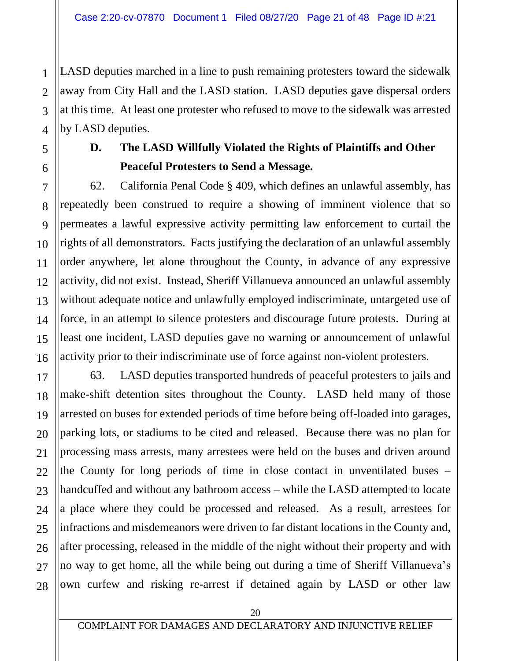LASD deputies marched in a line to push remaining protesters toward the sidewalk away from City Hall and the LASD station. LASD deputies gave dispersal orders at this time. At least one protester who refused to move to the sidewalk was arrested by LASD deputies.

1

2

3

**D. The LASD Willfully Violated the Rights of Plaintiffs and Other Peaceful Protesters to Send a Message.**

62. California Penal Code § 409, which defines an unlawful assembly, has repeatedly been construed to require a showing of imminent violence that so permeates a lawful expressive activity permitting law enforcement to curtail the rights of all demonstrators. Facts justifying the declaration of an unlawful assembly order anywhere, let alone throughout the County, in advance of any expressive activity, did not exist. Instead, Sheriff Villanueva announced an unlawful assembly without adequate notice and unlawfully employed indiscriminate, untargeted use of force, in an attempt to silence protesters and discourage future protests. During at least one incident, LASD deputies gave no warning or announcement of unlawful activity prior to their indiscriminate use of force against non-violent protesters.

63. LASD deputies transported hundreds of peaceful protesters to jails and make-shift detention sites throughout the County. LASD held many of those arrested on buses for extended periods of time before being off-loaded into garages, parking lots, or stadiums to be cited and released. Because there was no plan for processing mass arrests, many arrestees were held on the buses and driven around the County for long periods of time in close contact in unventilated buses – handcuffed and without any bathroom access – while the LASD attempted to locate a place where they could be processed and released. As a result, arrestees for infractions and misdemeanors were driven to far distant locations in the County and, after processing, released in the middle of the night without their property and with no way to get home, all the while being out during a time of Sheriff Villanueva's own curfew and risking re-arrest if detained again by LASD or other law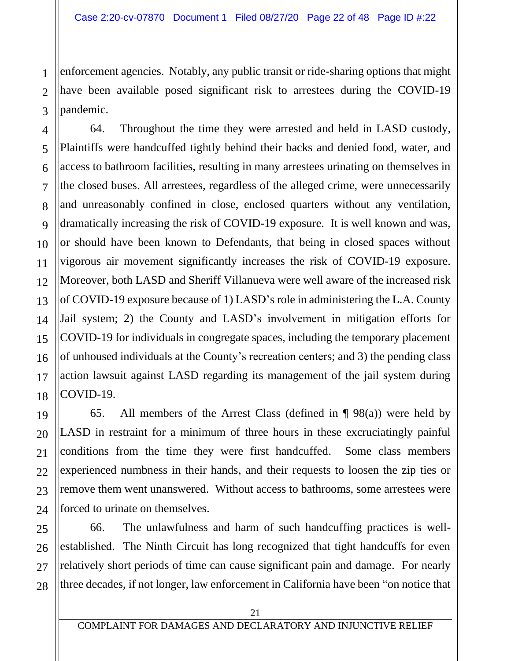enforcement agencies. Notably, any public transit or ride-sharing options that might have been available posed significant risk to arrestees during the COVID-19 pandemic.

64. Throughout the time they were arrested and held in LASD custody, Plaintiffs were handcuffed tightly behind their backs and denied food, water, and access to bathroom facilities, resulting in many arrestees urinating on themselves in the closed buses. All arrestees, regardless of the alleged crime, were unnecessarily and unreasonably confined in close, enclosed quarters without any ventilation, dramatically increasing the risk of COVID-19 exposure. It is well known and was, or should have been known to Defendants, that being in closed spaces without vigorous air movement significantly increases the risk of COVID-19 exposure. Moreover, both LASD and Sheriff Villanueva were well aware of the increased risk of COVID-19 exposure because of 1) LASD's role in administering the L.A. County Jail system; 2) the County and LASD's involvement in mitigation efforts for COVID-19 for individuals in congregate spaces, including the temporary placement of unhoused individuals at the County's recreation centers; and 3) the pending class action lawsuit against LASD regarding its management of the jail system during COVID-19.

65. All members of the Arrest Class (defined in  $\P$  98(a)) were held by LASD in restraint for a minimum of three hours in these excruciatingly painful conditions from the time they were first handcuffed. Some class members experienced numbness in their hands, and their requests to loosen the zip ties or remove them went unanswered. Without access to bathrooms, some arrestees were forced to urinate on themselves.

66. The unlawfulness and harm of such handcuffing practices is wellestablished. The Ninth Circuit has long recognized that tight handcuffs for even relatively short periods of time can cause significant pain and damage. For nearly three decades, if not longer, law enforcement in California have been "on notice that

1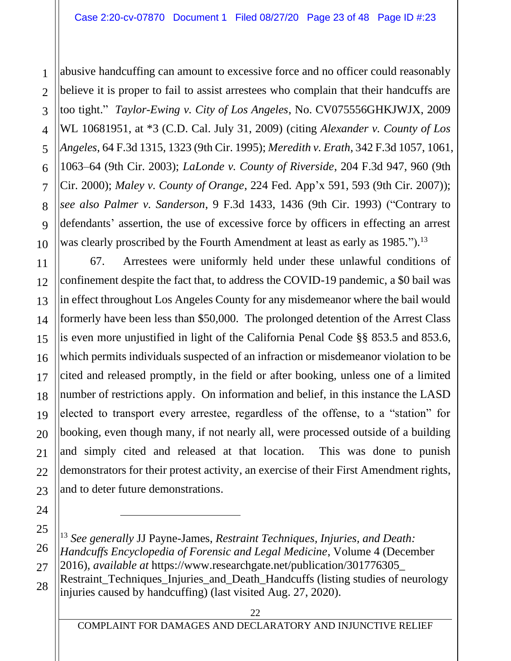abusive handcuffing can amount to excessive force and no officer could reasonably believe it is proper to fail to assist arrestees who complain that their handcuffs are too tight." *Taylor-Ewing v. City of Los Angeles*, No. CV075556GHKJWJX, 2009 WL 10681951, at \*3 (C.D. Cal. July 31, 2009) (citing *Alexander v. County of Los Angeles*, 64 F.3d 1315, 1323 (9th Cir. 1995); *Meredith v. Erath*, 342 F.3d 1057, 1061, 1063–64 (9th Cir. 2003); *LaLonde v. County of Riverside*, 204 F.3d 947, 960 (9th Cir. 2000); *Maley v. County of Orange*, 224 Fed. App'x 591, 593 (9th Cir. 2007)); *see also Palmer v. Sanderson*, 9 F.3d 1433, 1436 (9th Cir. 1993) ("Contrary to defendants' assertion, the use of excessive force by officers in effecting an arrest was clearly proscribed by the Fourth Amendment at least as early as 1985.").<sup>13</sup>

67. Arrestees were uniformly held under these unlawful conditions of confinement despite the fact that, to address the COVID-19 pandemic, a \$0 bail was in effect throughout Los Angeles County for any misdemeanor where the bail would formerly have been less than \$50,000. The prolonged detention of the Arrest Class is even more unjustified in light of the California Penal Code §§ 853.5 and 853.6, which permits individuals suspected of an infraction or misdemeanor violation to be cited and released promptly, in the field or after booking, unless one of a limited number of restrictions apply. On information and belief, in this instance the LASD elected to transport every arrestee, regardless of the offense, to a "station" for booking, even though many, if not nearly all, were processed outside of a building and simply cited and released at that location. This was done to punish demonstrators for their protest activity, an exercise of their First Amendment rights, and to deter future demonstrations.

<sup>13</sup> *See generally* JJ Payne-James, *Restraint Techniques, Injuries, and Death: Handcuffs Encyclopedia of Forensic and Legal Medicine*, Volume 4 (December 2016), *available at* https://www.researchgate.net/publication/301776305\_ Restraint Techniques Injuries and Death Handcuffs (listing studies of neurology injuries caused by handcuffing) (last visited Aug. 27, 2020).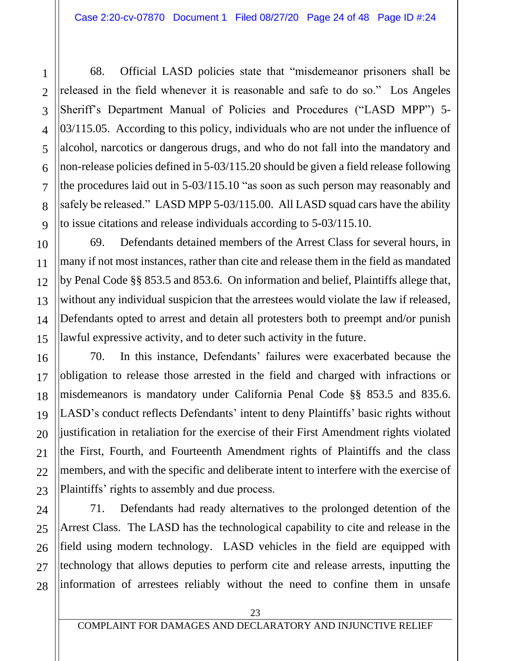68. Official LASD policies state that "misdemeanor prisoners shall be released in the field whenever it is reasonable and safe to do so." Los Angeles Sheriff's Department Manual of Policies and Procedures ("LASD MPP") 5- 03/115.05. According to this policy, individuals who are not under the influence of alcohol, narcotics or dangerous drugs, and who do not fall into the mandatory and non-release policies defined in 5-03/115.20 should be given a field release following the procedures laid out in 5-03/115.10 "as soon as such person may reasonably and safely be released." LASD MPP 5-03/115.00. All LASD squad cars have the ability to issue citations and release individuals according to 5-03/115.10.

69. Defendants detained members of the Arrest Class for several hours, in many if not most instances, rather than cite and release them in the field as mandated by Penal Code §§ 853.5 and 853.6. On information and belief, Plaintiffs allege that, without any individual suspicion that the arrestees would violate the law if released, Defendants opted to arrest and detain all protesters both to preempt and/or punish lawful expressive activity, and to deter such activity in the future.

70. In this instance, Defendants' failures were exacerbated because the obligation to release those arrested in the field and charged with infractions or misdemeanors is mandatory under California Penal Code §§ 853.5 and 835.6. LASD's conduct reflects Defendants' intent to deny Plaintiffs' basic rights without justification in retaliation for the exercise of their First Amendment rights violated the First, Fourth, and Fourteenth Amendment rights of Plaintiffs and the class members, and with the specific and deliberate intent to interfere with the exercise of Plaintiffs' rights to assembly and due process.

71. Defendants had ready alternatives to the prolonged detention of the Arrest Class. The LASD has the technological capability to cite and release in the field using modern technology. LASD vehicles in the field are equipped with technology that allows deputies to perform cite and release arrests, inputting the information of arrestees reliably without the need to confine them in unsafe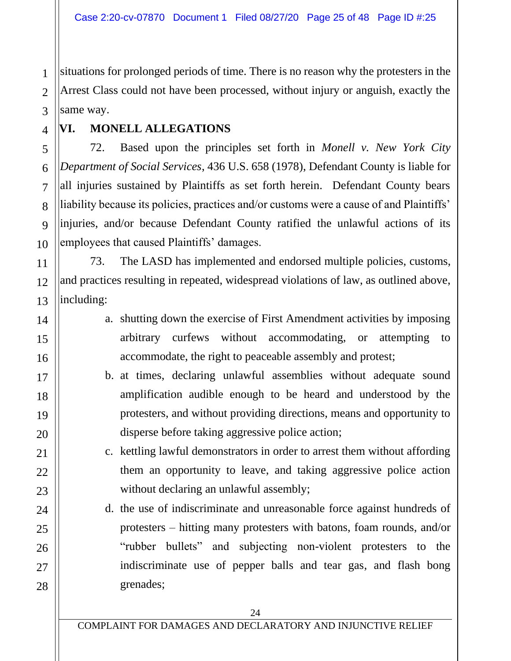situations for prolonged periods of time. There is no reason why the protesters in the Arrest Class could not have been processed, without injury or anguish, exactly the same way.

**VI. MONELL ALLEGATIONS**

72. Based upon the principles set forth in *Monell v. New York City Department of Social Services*, 436 U.S. 658 (1978), Defendant County is liable for all injuries sustained by Plaintiffs as set forth herein. Defendant County bears liability because its policies, practices and/or customs were a cause of and Plaintiffs' injuries, and/or because Defendant County ratified the unlawful actions of its employees that caused Plaintiffs' damages.

73. The LASD has implemented and endorsed multiple policies, customs, and practices resulting in repeated, widespread violations of law, as outlined above, including:

- a. shutting down the exercise of First Amendment activities by imposing arbitrary curfews without accommodating, or attempting to accommodate, the right to peaceable assembly and protest;
- b. at times, declaring unlawful assemblies without adequate sound amplification audible enough to be heard and understood by the protesters, and without providing directions, means and opportunity to disperse before taking aggressive police action;
	- c. kettling lawful demonstrators in order to arrest them without affording them an opportunity to leave, and taking aggressive police action without declaring an unlawful assembly;
- d. the use of indiscriminate and unreasonable force against hundreds of protesters – hitting many protesters with batons, foam rounds, and/or "rubber bullets" and subjecting non-violent protesters to the indiscriminate use of pepper balls and tear gas, and flash bong grenades;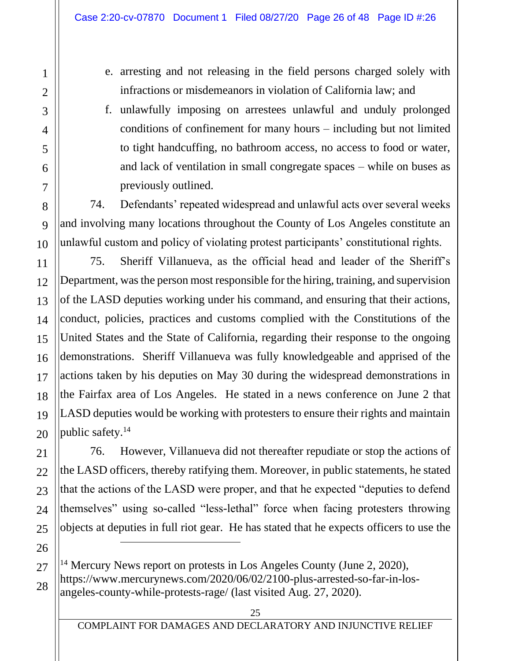- e. arresting and not releasing in the field persons charged solely with infractions or misdemeanors in violation of California law; and
- f. unlawfully imposing on arrestees unlawful and unduly prolonged conditions of confinement for many hours – including but not limited to tight handcuffing, no bathroom access, no access to food or water, and lack of ventilation in small congregate spaces – while on buses as previously outlined.

74. Defendants' repeated widespread and unlawful acts over several weeks and involving many locations throughout the County of Los Angeles constitute an unlawful custom and policy of violating protest participants' constitutional rights.

75. Sheriff Villanueva, as the official head and leader of the Sheriff's Department, was the person most responsible for the hiring, training, and supervision of the LASD deputies working under his command, and ensuring that their actions, conduct, policies, practices and customs complied with the Constitutions of the United States and the State of California, regarding their response to the ongoing demonstrations. Sheriff Villanueva was fully knowledgeable and apprised of the actions taken by his deputies on May 30 during the widespread demonstrations in the Fairfax area of Los Angeles. He stated in a news conference on June 2 that LASD deputies would be working with protesters to ensure their rights and maintain public safety.<sup>14</sup>

76. However, Villanueva did not thereafter repudiate or stop the actions of the LASD officers, thereby ratifying them. Moreover, in public statements, he stated that the actions of the LASD were proper, and that he expected "deputies to defend themselves" using so-called "less-lethal" force when facing protesters throwing objects at deputies in full riot gear. He has stated that he expects officers to use the

<sup>&</sup>lt;sup>14</sup> Mercury News report on protests in Los Angeles County (June 2, 2020), https://www.mercurynews.com/2020/06/02/2100-plus-arrested-so-far-in-losangeles-county-while-protests-rage/ (last visited Aug. 27, 2020).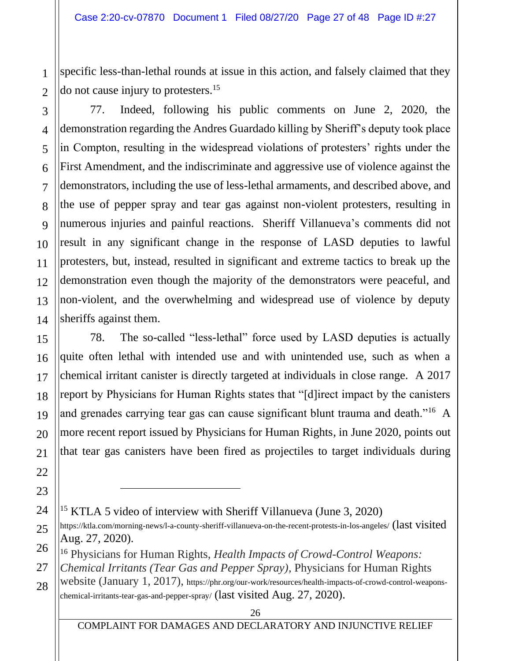specific less-than-lethal rounds at issue in this action, and falsely claimed that they do not cause injury to protesters.<sup>15</sup>

77. Indeed, following his public comments on June 2, 2020, the demonstration regarding the Andres Guardado killing by Sheriff's deputy took place in Compton, resulting in the widespread violations of protesters' rights under the First Amendment, and the indiscriminate and aggressive use of violence against the demonstrators, including the use of less-lethal armaments, and described above, and the use of pepper spray and tear gas against non-violent protesters, resulting in numerous injuries and painful reactions. Sheriff Villanueva's comments did not result in any significant change in the response of LASD deputies to lawful protesters, but, instead, resulted in significant and extreme tactics to break up the demonstration even though the majority of the demonstrators were peaceful, and non-violent, and the overwhelming and widespread use of violence by deputy sheriffs against them.

78. The so-called "less-lethal" force used by LASD deputies is actually quite often lethal with intended use and with unintended use, such as when a chemical irritant canister is directly targeted at individuals in close range. A 2017 report by Physicians for Human Rights states that "[d]irect impact by the canisters and grenades carrying tear gas can cause significant blunt trauma and death.<sup>"16</sup> A more recent report issued by Physicians for Human Rights, in June 2020, points out that tear gas canisters have been fired as projectiles to target individuals during

COMPLAINT FOR DAMAGES AND DECLARATORY AND INJUNCTIVE RELIEF

<sup>&</sup>lt;sup>15</sup> KTLA 5 video of interview with Sheriff Villanueva (June 3, 2020)

https://ktla.com/morning-news/l-a-county-sheriff-villanueva-on-the-recent-protests-in-los-angeles/ (last visited Aug. 27, 2020).

<sup>16</sup> Physicians for Human Rights, *Health Impacts of Crowd-Control Weapons:* 

*Chemical Irritants (Tear Gas and Pepper Spray)*, Physicians for Human Rights

website (January 1, 2017), https://phr.org/our-work/resources/health-impacts-of-crowd-control-weaponschemical-irritants-tear-gas-and-pepper-spray/ (last visited Aug. 27, 2020).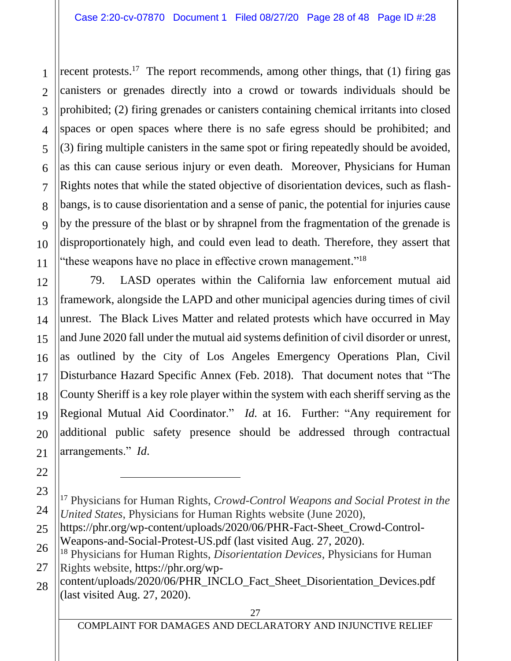recent protests.<sup>17</sup> The report recommends, among other things, that (1) firing gas canisters or grenades directly into a crowd or towards individuals should be prohibited; (2) firing grenades or canisters containing chemical irritants into closed spaces or open spaces where there is no safe egress should be prohibited; and (3) firing multiple canisters in the same spot or firing repeatedly should be avoided, as this can cause serious injury or even death. Moreover, Physicians for Human Rights notes that while the stated objective of disorientation devices, such as flashbangs, is to cause disorientation and a sense of panic, the potential for injuries cause by the pressure of the blast or by shrapnel from the fragmentation of the grenade is disproportionately high, and could even lead to death. Therefore, they assert that "these weapons have no place in effective crown management."<sup>18</sup>

79. LASD operates within the California law enforcement mutual aid framework, alongside the LAPD and other municipal agencies during times of civil unrest. The Black Lives Matter and related protests which have occurred in May and June 2020 fall under the mutual aid systems definition of civil disorder or unrest, as outlined by the City of Los Angeles Emergency Operations Plan, Civil Disturbance Hazard Specific Annex (Feb. 2018). That document notes that "The County Sheriff is a key role player within the system with each sheriff serving as the Regional Mutual Aid Coordinator." *Id.* at 16. Further: "Any requirement for additional public safety presence should be addressed through contractual arrangements." *Id*.

<sup>17</sup> Physicians for Human Rights, *Crowd-Control Weapons and Social Protest in the United States*, Physicians for Human Rights website (June 2020),

https://phr.org/wp-content/uploads/2020/06/PHR-Fact-Sheet\_Crowd-Control-Weapons-and-Social-Protest-US.pdf (last visited Aug. 27, 2020).

<sup>18</sup> Physicians for Human Rights, *Disorientation Devices*, Physicians for Human Rights website, https://phr.org/wp-

content/uploads/2020/06/PHR\_INCLO\_Fact\_Sheet\_Disorientation\_Devices.pdf (last visited Aug. 27, 2020).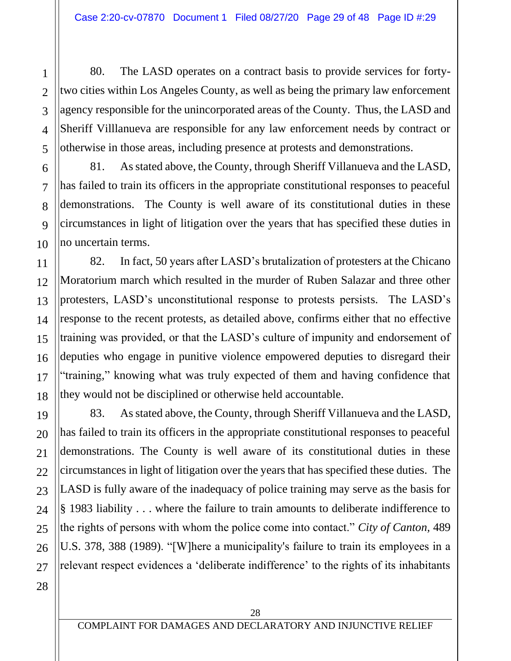80. The LASD operates on a contract basis to provide services for fortytwo cities within Los Angeles County, as well as being the primary law enforcement agency responsible for the unincorporated areas of the County. Thus, the LASD and Sheriff Villlanueva are responsible for any law enforcement needs by contract or otherwise in those areas, including presence at protests and demonstrations.

81. As stated above, the County, through Sheriff Villanueva and the LASD, has failed to train its officers in the appropriate constitutional responses to peaceful demonstrations. The County is well aware of its constitutional duties in these circumstances in light of litigation over the years that has specified these duties in no uncertain terms.

82. In fact, 50 years after LASD's brutalization of protesters at the Chicano Moratorium march which resulted in the murder of Ruben Salazar and three other protesters, LASD's unconstitutional response to protests persists. The LASD's response to the recent protests, as detailed above, confirms either that no effective training was provided, or that the LASD's culture of impunity and endorsement of deputies who engage in punitive violence empowered deputies to disregard their "training," knowing what was truly expected of them and having confidence that they would not be disciplined or otherwise held accountable.

20 26 83. As stated above, the County, through Sheriff Villanueva and the LASD, has failed to train its officers in the appropriate constitutional responses to peaceful demonstrations. The County is well aware of its constitutional duties in these circumstances in light of litigation over the years that has specified these duties. The LASD is fully aware of the inadequacy of police training may serve as the basis for § 1983 liability . . . where the failure to train amounts to deliberate indifference to the rights of persons with whom the police come into contact." *City of Canton,* 489 U.S. 378, 388 (1989). "[W]here a municipality's failure to train its employees in a relevant respect evidences a 'deliberate indifference' to the rights of its inhabitants

28

27

1

2

3

4

5

6

7

8

9

10

11

12

13

14

15

16

17

18

19

21

22

23

24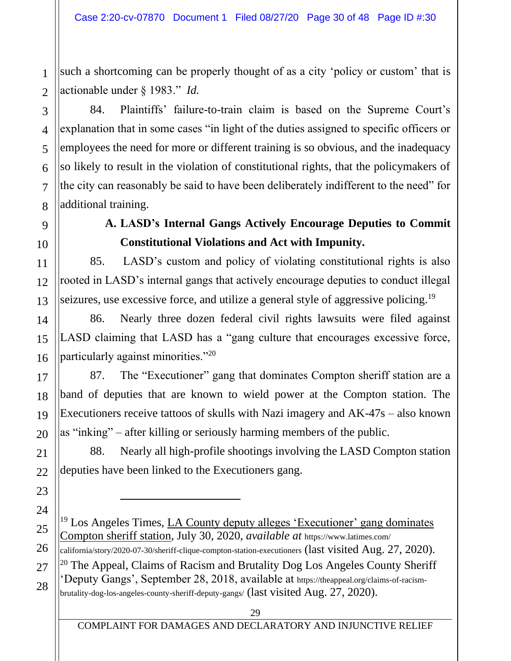such a shortcoming can be properly thought of as a city 'policy or custom' that is actionable under § 1983." *Id.*

84. Plaintiffs' failure-to-train claim is based on the Supreme Court's explanation that in some cases "in light of the duties assigned to specific officers or employees the need for more or different training is so obvious, and the inadequacy so likely to result in the violation of constitutional rights, that the policymakers of the city can reasonably be said to have been deliberately indifferent to the need" for additional training.

# **A. LASD's Internal Gangs Actively Encourage Deputies to Commit Constitutional Violations and Act with Impunity.**

85. LASD's custom and policy of violating constitutional rights is also rooted in LASD's internal gangs that actively encourage deputies to conduct illegal seizures, use excessive force, and utilize a general style of aggressive policing.<sup>19</sup>

86. Nearly three dozen federal civil rights lawsuits were filed against LASD claiming that LASD has a "gang culture that encourages excessive force, particularly against minorities."<sup>20</sup>

87. The "Executioner" gang that dominates Compton sheriff station are a band of deputies that are known to wield power at the Compton station. The Executioners receive tattoos of skulls with Nazi imagery and AK-47s – also known as "inking" – after killing or seriously harming members of the public.

88. Nearly all high-profile shootings involving the LASD Compton station deputies have been linked to the Executioners gang.

<sup>&</sup>lt;sup>19</sup> Los Angeles Times, LA County deputy alleges 'Executioner' gang dominates Compton sheriff station, July 30, 2020, *available at* https://www.latimes.com/ california/story/2020-07-30/sheriff-clique-compton-station-executioners (last visited Aug. 27, 2020). <sup>20</sup> The Appeal, Claims of Racism and Brutality Dog Los Angeles County Sheriff 'Deputy Gangs', September 28, 2018, available at https://theappeal.org/claims-of-racismbrutality-dog-los-angeles-county-sheriff-deputy-gangs/ (last visited Aug. 27, 2020).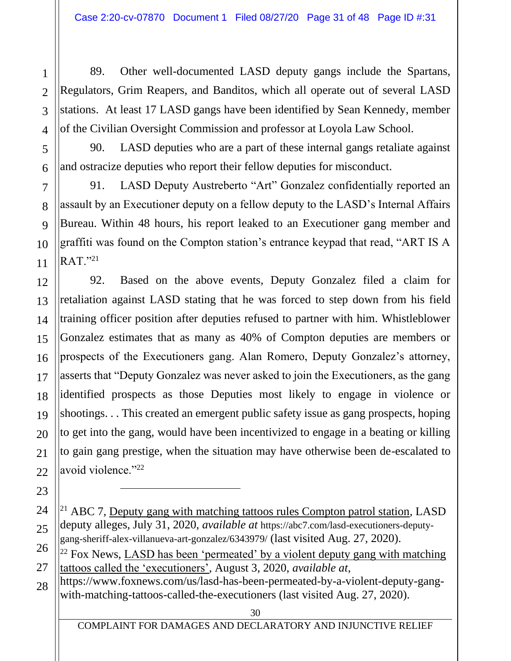89. Other well-documented LASD deputy gangs include the Spartans, Regulators, Grim Reapers, and Banditos, which all operate out of several LASD stations. At least 17 LASD gangs have been identified by Sean Kennedy, member of the Civilian Oversight Commission and professor at Loyola Law School.

90. LASD deputies who are a part of these internal gangs retaliate against and ostracize deputies who report their fellow deputies for misconduct.

91. LASD Deputy Austreberto "Art" Gonzalez confidentially reported an assault by an Executioner deputy on a fellow deputy to the LASD's Internal Affairs Bureau. Within 48 hours, his report leaked to an Executioner gang member and graffiti was found on the Compton station's entrance keypad that read, "ART IS A  $RAT.$ "<sup>21</sup>

92. Based on the above events, Deputy Gonzalez filed a claim for retaliation against LASD stating that he was forced to step down from his field training officer position after deputies refused to partner with him. Whistleblower Gonzalez estimates that as many as 40% of Compton deputies are members or prospects of the Executioners gang. Alan Romero, Deputy Gonzalez's attorney, asserts that "Deputy Gonzalez was never asked to join the Executioners, as the gang identified prospects as those Deputies most likely to engage in violence or shootings. . . This created an emergent public safety issue as gang prospects, hoping to get into the gang, would have been incentivized to engage in a beating or killing to gain gang prestige, when the situation may have otherwise been de-escalated to avoid violence."<sup>22</sup>

https://www.foxnews.com/us/lasd-has-been-permeated-by-a-violent-deputy-gangwith-matching-tattoos-called-the-executioners (last visited Aug. 27, 2020).

COMPLAINT FOR DAMAGES AND DECLARATORY AND INJUNCTIVE RELIEF

<sup>&</sup>lt;sup>21</sup> ABC 7, Deputy gang with matching tattoos rules Compton patrol station, LASD deputy alleges, July 31, 2020, *available at* https://abc7.com/lasd-executioners-deputygang-sheriff-alex-villanueva-art-gonzalez/6343979/ (last visited Aug. 27, 2020).

 $^{22}$  Fox News, LASD has been 'permeated' by a violent deputy gang with matching tattoos called the 'executioners', August 3, 2020, *available at*,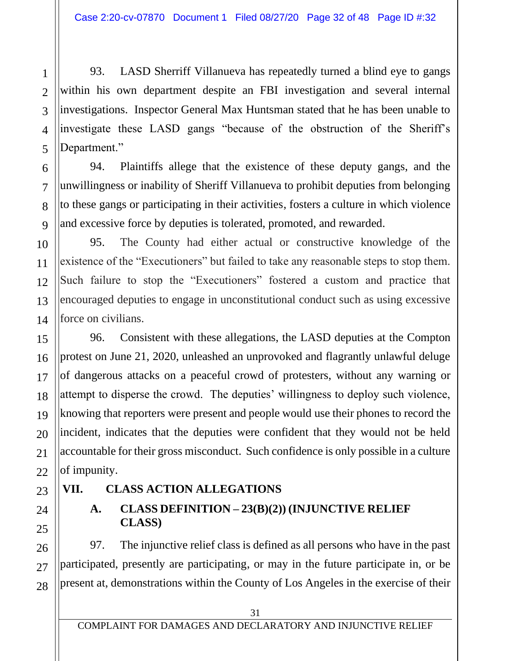93. LASD Sherriff Villanueva has repeatedly turned a blind eye to gangs within his own department despite an FBI investigation and several internal investigations. Inspector General Max Huntsman stated that he has been unable to investigate these LASD gangs "because of the obstruction of the Sheriff's Department."

94. Plaintiffs allege that the existence of these deputy gangs, and the unwillingness or inability of Sheriff Villanueva to prohibit deputies from belonging to these gangs or participating in their activities, fosters a culture in which violence and excessive force by deputies is tolerated, promoted, and rewarded.

95. The County had either actual or constructive knowledge of the existence of the "Executioners" but failed to take any reasonable steps to stop them. Such failure to stop the "Executioners" fostered a custom and practice that encouraged deputies to engage in unconstitutional conduct such as using excessive force on civilians.

96. Consistent with these allegations, the LASD deputies at the Compton protest on June 21, 2020, unleashed an unprovoked and flagrantly unlawful deluge of dangerous attacks on a peaceful crowd of protesters, without any warning or attempt to disperse the crowd. The deputies' willingness to deploy such violence, knowing that reporters were present and people would use their phones to record the incident, indicates that the deputies were confident that they would not be held accountable for their gross misconduct. Such confidence is only possible in a culture of impunity.

## **VII. CLASS ACTION ALLEGATIONS**

## **A. CLASS DEFINITION – 23(B)(2)) (INJUNCTIVE RELIEF CLASS)**

97. The injunctive relief class is defined as all persons who have in the past participated, presently are participating, or may in the future participate in, or be present at, demonstrations within the County of Los Angeles in the exercise of their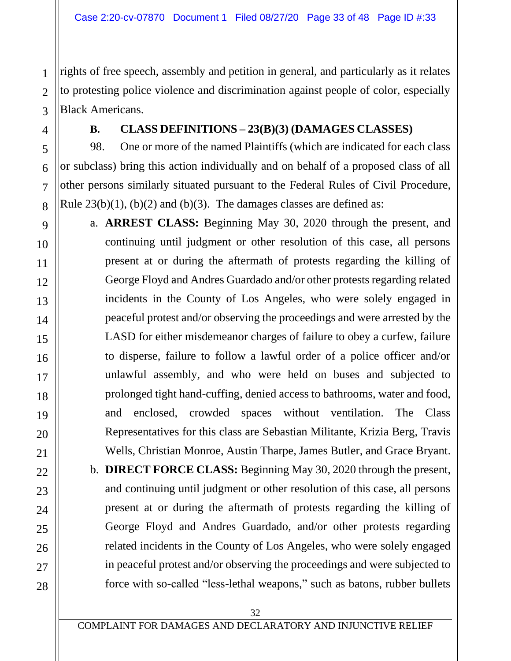rights of free speech, assembly and petition in general, and particularly as it relates to protesting police violence and discrimination against people of color, especially Black Americans.

1

#### **B. CLASS DEFINITIONS – 23(B)(3) (DAMAGES CLASSES)**

98. One or more of the named Plaintiffs (which are indicated for each class or subclass) bring this action individually and on behalf of a proposed class of all other persons similarly situated pursuant to the Federal Rules of Civil Procedure, Rule  $23(b)(1)$ ,  $(b)(2)$  and  $(b)(3)$ . The damages classes are defined as:

a. **ARREST CLASS:** Beginning May 30, 2020 through the present, and continuing until judgment or other resolution of this case, all persons present at or during the aftermath of protests regarding the killing of George Floyd and Andres Guardado and/or other protests regarding related incidents in the County of Los Angeles, who were solely engaged in peaceful protest and/or observing the proceedings and were arrested by the LASD for either misdemeanor charges of failure to obey a curfew, failure to disperse, failure to follow a lawful order of a police officer and/or unlawful assembly, and who were held on buses and subjected to prolonged tight hand-cuffing, denied access to bathrooms, water and food, and enclosed, crowded spaces without ventilation. The Class Representatives for this class are Sebastian Militante, Krizia Berg, Travis Wells, Christian Monroe, Austin Tharpe, James Butler, and Grace Bryant.

b. **DIRECT FORCE CLASS:** Beginning May 30, 2020 through the present, and continuing until judgment or other resolution of this case, all persons present at or during the aftermath of protests regarding the killing of George Floyd and Andres Guardado, and/or other protests regarding related incidents in the County of Los Angeles, who were solely engaged in peaceful protest and/or observing the proceedings and were subjected to force with so-called "less-lethal weapons," such as batons, rubber bullets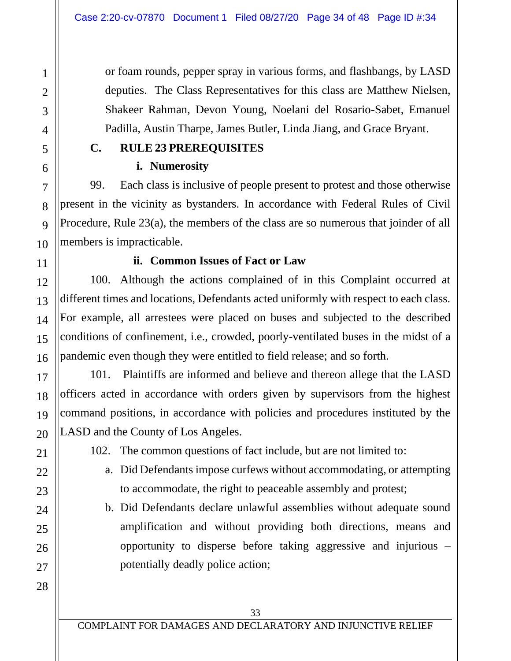or foam rounds, pepper spray in various forms, and flashbangs, by LASD deputies. The Class Representatives for this class are Matthew Nielsen, Shakeer Rahman, Devon Young, Noelani del Rosario-Sabet, Emanuel Padilla, Austin Tharpe, James Butler, Linda Jiang, and Grace Bryant.

### **C. RULE 23 PREREQUISITES**

#### **i. Numerosity**

1

2

3

4

5

6

7

8

9

10

11

12

13

14

15

16

17

18

19

20

21

22

23

24

25

26

27

28

99. Each class is inclusive of people present to protest and those otherwise present in the vicinity as bystanders. In accordance with Federal Rules of Civil Procedure, Rule 23(a), the members of the class are so numerous that joinder of all members is impracticable.

#### **ii. Common Issues of Fact or Law**

100. Although the actions complained of in this Complaint occurred at different times and locations, Defendants acted uniformly with respect to each class. For example, all arrestees were placed on buses and subjected to the described conditions of confinement, i.e., crowded, poorly-ventilated buses in the midst of a pandemic even though they were entitled to field release; and so forth.

101. Plaintiffs are informed and believe and thereon allege that the LASD officers acted in accordance with orders given by supervisors from the highest command positions, in accordance with policies and procedures instituted by the LASD and the County of Los Angeles.

- 102. The common questions of fact include, but are not limited to:
	- a. Did Defendants impose curfews without accommodating, or attempting to accommodate, the right to peaceable assembly and protest;
	- b. Did Defendants declare unlawful assemblies without adequate sound amplification and without providing both directions, means and opportunity to disperse before taking aggressive and injurious – potentially deadly police action;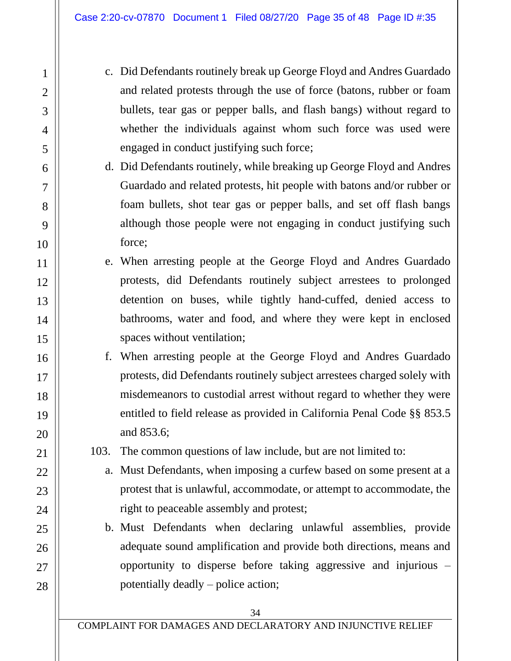- c. Did Defendants routinely break up George Floyd and Andres Guardado and related protests through the use of force (batons, rubber or foam bullets, tear gas or pepper balls, and flash bangs) without regard to whether the individuals against whom such force was used were engaged in conduct justifying such force;
- d. Did Defendants routinely, while breaking up George Floyd and Andres Guardado and related protests, hit people with batons and/or rubber or foam bullets, shot tear gas or pepper balls, and set off flash bangs although those people were not engaging in conduct justifying such force;
- e. When arresting people at the George Floyd and Andres Guardado protests, did Defendants routinely subject arrestees to prolonged detention on buses, while tightly hand-cuffed, denied access to bathrooms, water and food, and where they were kept in enclosed spaces without ventilation;
- f. When arresting people at the George Floyd and Andres Guardado protests, did Defendants routinely subject arrestees charged solely with misdemeanors to custodial arrest without regard to whether they were entitled to field release as provided in California Penal Code §§ 853.5 and 853.6;
- 103. The common questions of law include, but are not limited to:
	- a. Must Defendants, when imposing a curfew based on some present at a protest that is unlawful, accommodate, or attempt to accommodate, the right to peaceable assembly and protest;
	- b. Must Defendants when declaring unlawful assemblies, provide adequate sound amplification and provide both directions, means and opportunity to disperse before taking aggressive and injurious – potentially deadly – police action;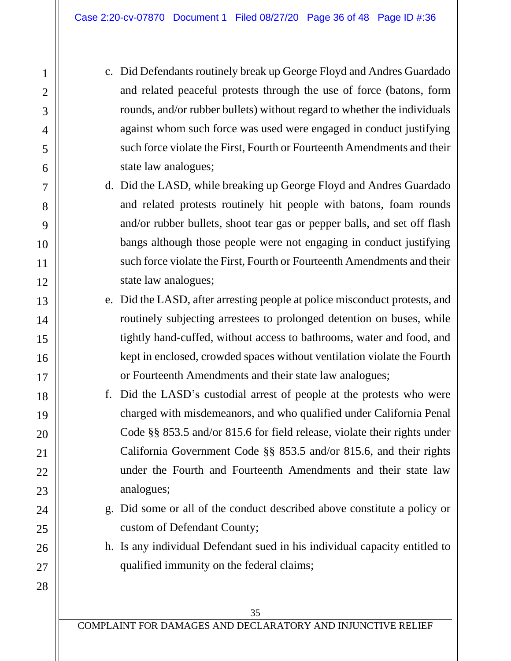- c. Did Defendants routinely break up George Floyd and Andres Guardado and related peaceful protests through the use of force (batons, form rounds, and/or rubber bullets) without regard to whether the individuals against whom such force was used were engaged in conduct justifying such force violate the First, Fourth or Fourteenth Amendments and their state law analogues;
- d. Did the LASD, while breaking up George Floyd and Andres Guardado and related protests routinely hit people with batons, foam rounds and/or rubber bullets, shoot tear gas or pepper balls, and set off flash bangs although those people were not engaging in conduct justifying such force violate the First, Fourth or Fourteenth Amendments and their state law analogues;
- e. Did the LASD, after arresting people at police misconduct protests, and routinely subjecting arrestees to prolonged detention on buses, while tightly hand-cuffed, without access to bathrooms, water and food, and kept in enclosed, crowded spaces without ventilation violate the Fourth or Fourteenth Amendments and their state law analogues;
- f. Did the LASD's custodial arrest of people at the protests who were charged with misdemeanors, and who qualified under California Penal Code §§ 853.5 and/or 815.6 for field release, violate their rights under California Government Code §§ 853.5 and/or 815.6, and their rights under the Fourth and Fourteenth Amendments and their state law analogues;
- g. Did some or all of the conduct described above constitute a policy or custom of Defendant County;
- h. Is any individual Defendant sued in his individual capacity entitled to qualified immunity on the federal claims;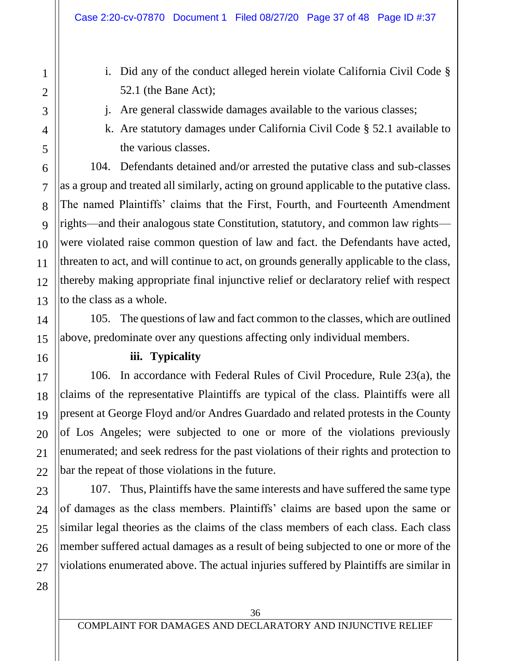- i. Did any of the conduct alleged herein violate California Civil Code § 52.1 (the Bane Act);
- j. Are general classwide damages available to the various classes;
- k. Are statutory damages under California Civil Code § 52.1 available to the various classes.

104. Defendants detained and/or arrested the putative class and sub-classes as a group and treated all similarly, acting on ground applicable to the putative class. The named Plaintiffs' claims that the First, Fourth, and Fourteenth Amendment rights—and their analogous state Constitution, statutory, and common law rights were violated raise common question of law and fact. the Defendants have acted, threaten to act, and will continue to act, on grounds generally applicable to the class, thereby making appropriate final injunctive relief or declaratory relief with respect to the class as a whole.

105. The questions of law and fact common to the classes, which are outlined above, predominate over any questions affecting only individual members.

#### **iii. Typicality**

106. In accordance with Federal Rules of Civil Procedure, Rule 23(a), the claims of the representative Plaintiffs are typical of the class. Plaintiffs were all present at George Floyd and/or Andres Guardado and related protests in the County of Los Angeles; were subjected to one or more of the violations previously enumerated; and seek redress for the past violations of their rights and protection to bar the repeat of those violations in the future.

107. Thus, Plaintiffs have the same interests and have suffered the same type of damages as the class members. Plaintiffs' claims are based upon the same or similar legal theories as the claims of the class members of each class. Each class member suffered actual damages as a result of being subjected to one or more of the violations enumerated above. The actual injuries suffered by Plaintiffs are similar in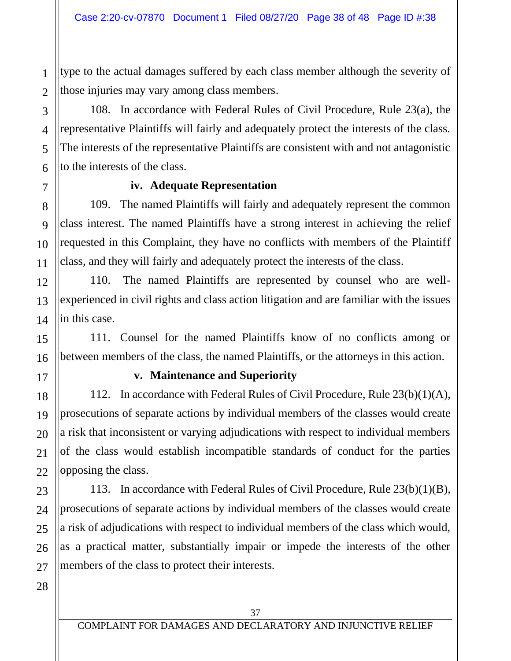type to the actual damages suffered by each class member although the severity of those injuries may vary among class members.

108. In accordance with Federal Rules of Civil Procedure, Rule 23(a), the representative Plaintiffs will fairly and adequately protect the interests of the class. The interests of the representative Plaintiffs are consistent with and not antagonistic to the interests of the class.

#### **iv. Adequate Representation**

109. The named Plaintiffs will fairly and adequately represent the common class interest. The named Plaintiffs have a strong interest in achieving the relief requested in this Complaint, they have no conflicts with members of the Plaintiff class, and they will fairly and adequately protect the interests of the class.

110. The named Plaintiffs are represented by counsel who are wellexperienced in civil rights and class action litigation and are familiar with the issues in this case.

111. Counsel for the named Plaintiffs know of no conflicts among or between members of the class, the named Plaintiffs, or the attorneys in this action.

#### **v. Maintenance and Superiority**

112. In accordance with Federal Rules of Civil Procedure, Rule 23(b)(1)(A), prosecutions of separate actions by individual members of the classes would create a risk that inconsistent or varying adjudications with respect to individual members of the class would establish incompatible standards of conduct for the parties opposing the class.

113. In accordance with Federal Rules of Civil Procedure, Rule 23(b)(1)(B), prosecutions of separate actions by individual members of the classes would create a risk of adjudications with respect to individual members of the class which would, as a practical matter, substantially impair or impede the interests of the other members of the class to protect their interests.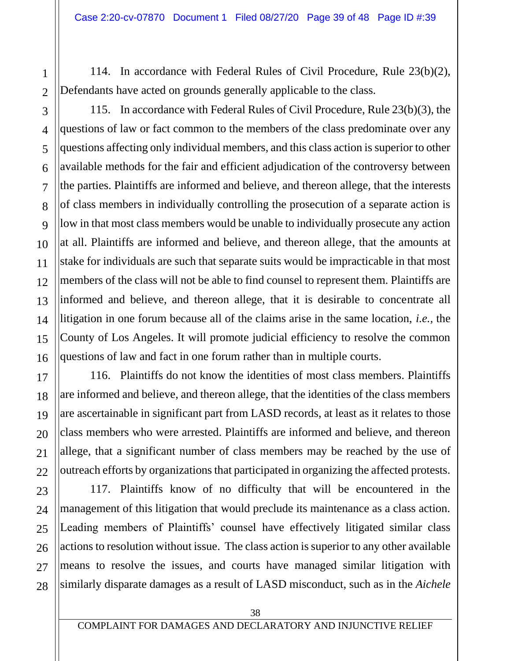114. In accordance with Federal Rules of Civil Procedure, Rule 23(b)(2), Defendants have acted on grounds generally applicable to the class.

115. In accordance with Federal Rules of Civil Procedure, Rule 23(b)(3), the questions of law or fact common to the members of the class predominate over any questions affecting only individual members, and this class action is superior to other available methods for the fair and efficient adjudication of the controversy between the parties. Plaintiffs are informed and believe, and thereon allege, that the interests of class members in individually controlling the prosecution of a separate action is low in that most class members would be unable to individually prosecute any action at all. Plaintiffs are informed and believe, and thereon allege, that the amounts at stake for individuals are such that separate suits would be impracticable in that most members of the class will not be able to find counsel to represent them. Plaintiffs are informed and believe, and thereon allege, that it is desirable to concentrate all litigation in one forum because all of the claims arise in the same location, *i.e.,* the County of Los Angeles. It will promote judicial efficiency to resolve the common questions of law and fact in one forum rather than in multiple courts.

116. Plaintiffs do not know the identities of most class members. Plaintiffs are informed and believe, and thereon allege, that the identities of the class members are ascertainable in significant part from LASD records, at least as it relates to those class members who were arrested. Plaintiffs are informed and believe, and thereon allege, that a significant number of class members may be reached by the use of outreach efforts by organizations that participated in organizing the affected protests.

117. Plaintiffs know of no difficulty that will be encountered in the management of this litigation that would preclude its maintenance as a class action. Leading members of Plaintiffs' counsel have effectively litigated similar class actions to resolution without issue. The class action is superior to any other available means to resolve the issues, and courts have managed similar litigation with similarly disparate damages as a result of LASD misconduct, such as in the *Aichele*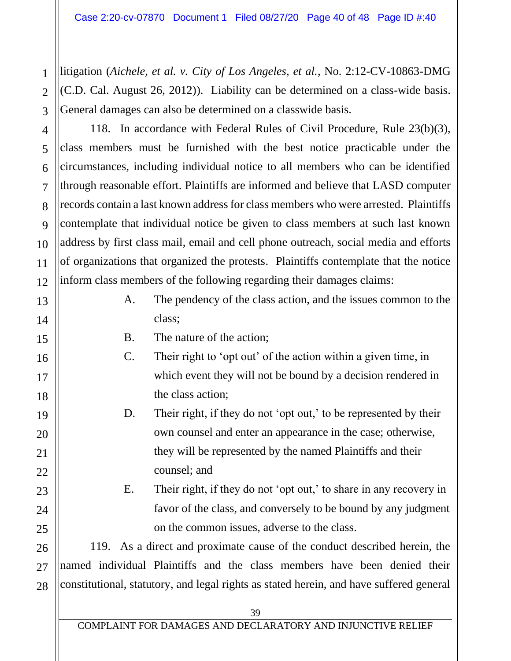litigation (*Aichele, et al. v. City of Los Angeles, et al.*, No. 2:12-CV-10863-DMG (C.D. Cal. August 26, 2012)). Liability can be determined on a class-wide basis. General damages can also be determined on a classwide basis.

118. In accordance with Federal Rules of Civil Procedure, Rule 23(b)(3), class members must be furnished with the best notice practicable under the circumstances, including individual notice to all members who can be identified through reasonable effort. Plaintiffs are informed and believe that LASD computer records contain a last known address for class members who were arrested. Plaintiffs contemplate that individual notice be given to class members at such last known address by first class mail, email and cell phone outreach, social media and efforts of organizations that organized the protests. Plaintiffs contemplate that the notice inform class members of the following regarding their damages claims:

- A. The pendency of the class action, and the issues common to the class;
- B. The nature of the action;
- C. Their right to 'opt out' of the action within a given time, in which event they will not be bound by a decision rendered in the class action;
- D. Their right, if they do not 'opt out,' to be represented by their own counsel and enter an appearance in the case; otherwise, they will be represented by the named Plaintiffs and their counsel; and
- E. Their right, if they do not 'opt out,' to share in any recovery in favor of the class, and conversely to be bound by any judgment on the common issues, adverse to the class.

119. As a direct and proximate cause of the conduct described herein, the named individual Plaintiffs and the class members have been denied their constitutional, statutory, and legal rights as stated herein, and have suffered general

1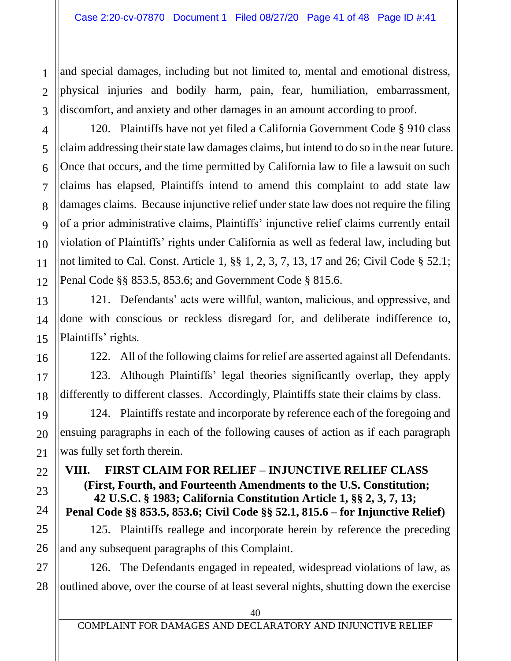and special damages, including but not limited to, mental and emotional distress, physical injuries and bodily harm, pain, fear, humiliation, embarrassment, discomfort, and anxiety and other damages in an amount according to proof.

120. Plaintiffs have not yet filed a California Government Code § 910 class claim addressing their state law damages claims, but intend to do so in the near future. Once that occurs, and the time permitted by California law to file a lawsuit on such claims has elapsed, Plaintiffs intend to amend this complaint to add state law damages claims. Because injunctive relief under state law does not require the filing of a prior administrative claims, Plaintiffs' injunctive relief claims currently entail violation of Plaintiffs' rights under California as well as federal law, including but not limited to Cal. Const. Article 1, §§ 1, 2, 3, 7, 13, 17 and 26; Civil Code § 52.1; Penal Code §§ 853.5, 853.6; and Government Code § 815.6.

121. Defendants' acts were willful, wanton, malicious, and oppressive, and done with conscious or reckless disregard for, and deliberate indifference to, Plaintiffs' rights.

122. All of the following claims for relief are asserted against all Defendants.

123. Although Plaintiffs' legal theories significantly overlap, they apply differently to different classes. Accordingly, Plaintiffs state their claims by class.

124. Plaintiffs restate and incorporate by reference each of the foregoing and ensuing paragraphs in each of the following causes of action as if each paragraph was fully set forth therein.

**VIII. FIRST CLAIM FOR RELIEF – INJUNCTIVE RELIEF CLASS (First, Fourth, and Fourteenth Amendments to the U.S. Constitution; 42 U.S.C. § 1983; California Constitution Article 1, §§ 2, 3, 7, 13; Penal Code §§ 853.5, 853.6; Civil Code §§ 52.1, 815.6 – for Injunctive Relief)** 

125. Plaintiffs reallege and incorporate herein by reference the preceding and any subsequent paragraphs of this Complaint.

126. The Defendants engaged in repeated, widespread violations of law, as outlined above, over the course of at least several nights, shutting down the exercise

1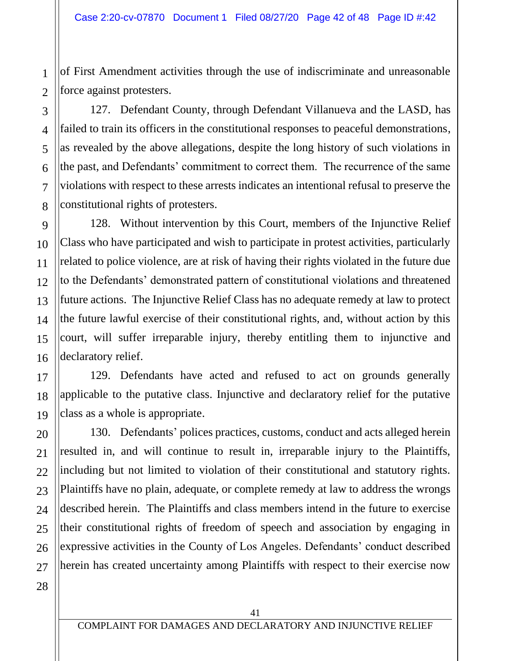of First Amendment activities through the use of indiscriminate and unreasonable force against protesters.

127. Defendant County, through Defendant Villanueva and the LASD, has failed to train its officers in the constitutional responses to peaceful demonstrations, as revealed by the above allegations, despite the long history of such violations in the past, and Defendants' commitment to correct them. The recurrence of the same violations with respect to these arrests indicates an intentional refusal to preserve the constitutional rights of protesters.

128. Without intervention by this Court, members of the Injunctive Relief Class who have participated and wish to participate in protest activities, particularly related to police violence, are at risk of having their rights violated in the future due to the Defendants' demonstrated pattern of constitutional violations and threatened future actions. The Injunctive Relief Class has no adequate remedy at law to protect the future lawful exercise of their constitutional rights, and, without action by this court, will suffer irreparable injury, thereby entitling them to injunctive and declaratory relief.

129. Defendants have acted and refused to act on grounds generally applicable to the putative class. Injunctive and declaratory relief for the putative class as a whole is appropriate.

130. Defendants' polices practices, customs, conduct and acts alleged herein resulted in, and will continue to result in, irreparable injury to the Plaintiffs, including but not limited to violation of their constitutional and statutory rights. Plaintiffs have no plain, adequate, or complete remedy at law to address the wrongs described herein. The Plaintiffs and class members intend in the future to exercise their constitutional rights of freedom of speech and association by engaging in expressive activities in the County of Los Angeles. Defendants' conduct described herein has created uncertainty among Plaintiffs with respect to their exercise now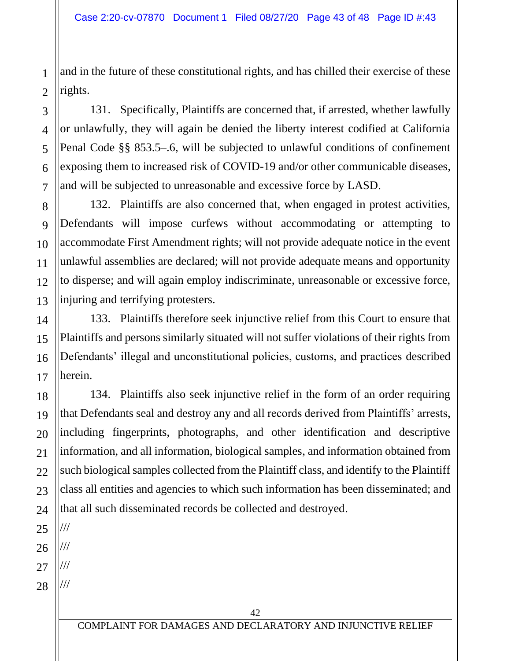and in the future of these constitutional rights, and has chilled their exercise of these rights.

131. Specifically, Plaintiffs are concerned that, if arrested, whether lawfully or unlawfully, they will again be denied the liberty interest codified at California Penal Code §§ 853.5–.6, will be subjected to unlawful conditions of confinement exposing them to increased risk of COVID-19 and/or other communicable diseases, and will be subjected to unreasonable and excessive force by LASD.

132. Plaintiffs are also concerned that, when engaged in protest activities, Defendants will impose curfews without accommodating or attempting to accommodate First Amendment rights; will not provide adequate notice in the event unlawful assemblies are declared; will not provide adequate means and opportunity to disperse; and will again employ indiscriminate, unreasonable or excessive force, injuring and terrifying protesters.

133. Plaintiffs therefore seek injunctive relief from this Court to ensure that Plaintiffs and persons similarly situated will not suffer violations of their rights from Defendants' illegal and unconstitutional policies, customs, and practices described herein.

134. Plaintiffs also seek injunctive relief in the form of an order requiring that Defendants seal and destroy any and all records derived from Plaintiffs' arrests, including fingerprints, photographs, and other identification and descriptive information, and all information, biological samples, and information obtained from such biological samples collected from the Plaintiff class, and identify to the Plaintiff class all entities and agencies to which such information has been disseminated; and that all such disseminated records be collected and destroyed.

///

///

///

1

2

3

4

5

6

7

8

9

10

11

12

13

14

15

16

17

18

19

20

21

22

23

28 ///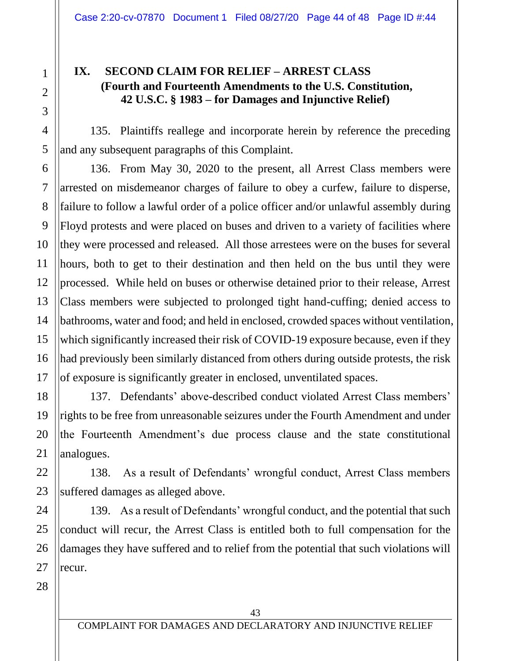#### **IX. SECOND CLAIM FOR RELIEF – ARREST CLASS (Fourth and Fourteenth Amendments to the U.S. Constitution, 42 U.S.C. § 1983 – for Damages and Injunctive Relief)**

135. Plaintiffs reallege and incorporate herein by reference the preceding and any subsequent paragraphs of this Complaint.

136. From May 30, 2020 to the present, all Arrest Class members were arrested on misdemeanor charges of failure to obey a curfew, failure to disperse, failure to follow a lawful order of a police officer and/or unlawful assembly during Floyd protests and were placed on buses and driven to a variety of facilities where they were processed and released. All those arrestees were on the buses for several hours, both to get to their destination and then held on the bus until they were processed. While held on buses or otherwise detained prior to their release, Arrest Class members were subjected to prolonged tight hand-cuffing; denied access to bathrooms, water and food; and held in enclosed, crowded spaces without ventilation, which significantly increased their risk of COVID-19 exposure because, even if they had previously been similarly distanced from others during outside protests, the risk of exposure is significantly greater in enclosed, unventilated spaces.

137. Defendants' above-described conduct violated Arrest Class members' rights to be free from unreasonable seizures under the Fourth Amendment and under the Fourteenth Amendment's due process clause and the state constitutional analogues.

138. As a result of Defendants' wrongful conduct, Arrest Class members suffered damages as alleged above.

139. As a result of Defendants' wrongful conduct, and the potential that such conduct will recur, the Arrest Class is entitled both to full compensation for the damages they have suffered and to relief from the potential that such violations will recur.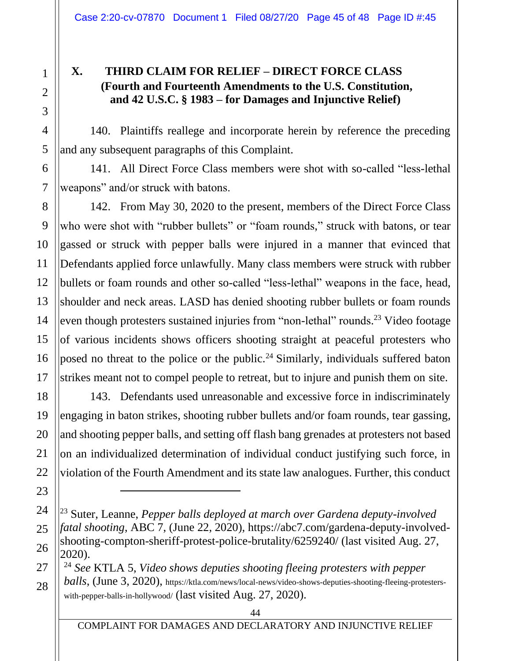#### **X. THIRD CLAIM FOR RELIEF – DIRECT FORCE CLASS (Fourth and Fourteenth Amendments to the U.S. Constitution, and 42 U.S.C. § 1983 – for Damages and Injunctive Relief)**

140. Plaintiffs reallege and incorporate herein by reference the preceding and any subsequent paragraphs of this Complaint.

141. All Direct Force Class members were shot with so-called "less-lethal weapons" and/or struck with batons.

142. From May 30, 2020 to the present, members of the Direct Force Class who were shot with "rubber bullets" or "foam rounds," struck with batons, or tear gassed or struck with pepper balls were injured in a manner that evinced that Defendants applied force unlawfully. Many class members were struck with rubber bullets or foam rounds and other so-called "less-lethal" weapons in the face, head, shoulder and neck areas. LASD has denied shooting rubber bullets or foam rounds even though protesters sustained injuries from "non-lethal" rounds.<sup>23</sup> Video footage of various incidents shows officers shooting straight at peaceful protesters who posed no threat to the police or the public.<sup>24</sup> Similarly, individuals suffered baton strikes meant not to compel people to retreat, but to injure and punish them on site.

143. Defendants used unreasonable and excessive force in indiscriminately engaging in baton strikes, shooting rubber bullets and/or foam rounds, tear gassing, and shooting pepper balls, and setting off flash bang grenades at protesters not based on an individualized determination of individual conduct justifying such force, in violation of the Fourth Amendment and its state law analogues. Further, this conduct

<sup>24</sup> *See* KTLA 5, *Video shows deputies shooting fleeing protesters with pepper* 

*balls*, (June 3, 2020), https://ktla.com/news/local-news/video-shows-deputies-shooting-fleeing-protesterswith-pepper-balls-in-hollywood/ (last visited Aug. 27, 2020).

<sup>23</sup> Suter, Leanne, *Pepper balls deployed at march over Gardena deputy-involved fatal shooting*, ABC 7, (June 22, 2020), https://abc7.com/gardena-deputy-involvedshooting-compton-sheriff-protest-police-brutality/6259240/ (last visited Aug. 27, 2020).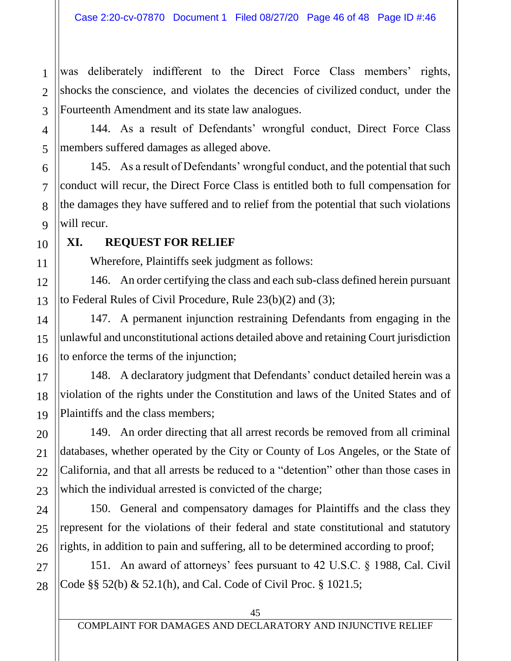was deliberately indifferent to the Direct Force Class members' rights, shocks the conscience, and violates the decencies of civilized conduct, under the Fourteenth Amendment and its state law analogues.

144. As a result of Defendants' wrongful conduct, Direct Force Class members suffered damages as alleged above.

145. As a result of Defendants' wrongful conduct, and the potential that such conduct will recur, the Direct Force Class is entitled both to full compensation for the damages they have suffered and to relief from the potential that such violations will recur.

### **XI. REQUEST FOR RELIEF**

Wherefore, Plaintiffs seek judgment as follows:

146. An order certifying the class and each sub-class defined herein pursuant to Federal Rules of Civil Procedure, Rule 23(b)(2) and (3);

147. A permanent injunction restraining Defendants from engaging in the unlawful and unconstitutional actions detailed above and retaining Court jurisdiction to enforce the terms of the injunction;

148. A declaratory judgment that Defendants' conduct detailed herein was a violation of the rights under the Constitution and laws of the United States and of Plaintiffs and the class members;

149. An order directing that all arrest records be removed from all criminal databases, whether operated by the City or County of Los Angeles, or the State of California, and that all arrests be reduced to a "detention" other than those cases in which the individual arrested is convicted of the charge;

150. General and compensatory damages for Plaintiffs and the class they represent for the violations of their federal and state constitutional and statutory rights, in addition to pain and suffering, all to be determined according to proof;

151. An award of attorneys' fees pursuant to 42 U.S.C. § 1988, Cal. Civil Code §§ 52(b) & 52.1(h), and Cal. Code of Civil Proc. § 1021.5;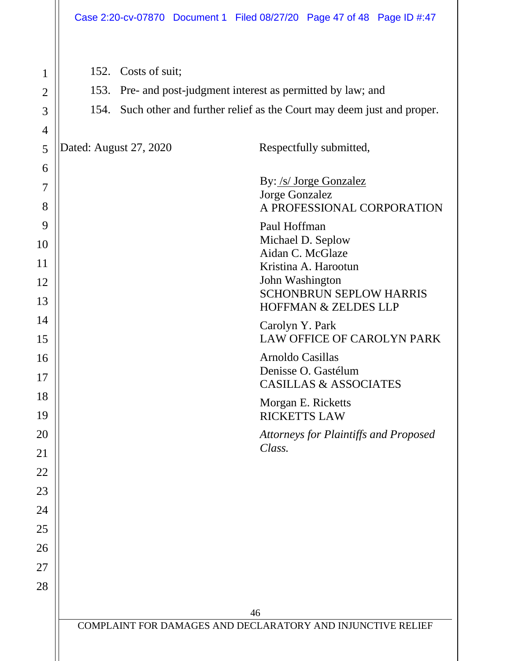|                     |                                                                                                                                               | Case 2:20-cv-07870 Document 1 Filed 08/27/20 Page 47 of 48 Page ID #:47 |  |
|---------------------|-----------------------------------------------------------------------------------------------------------------------------------------------|-------------------------------------------------------------------------|--|
|                     |                                                                                                                                               |                                                                         |  |
| 1                   | 152. Costs of suit;                                                                                                                           |                                                                         |  |
| $\overline{2}$      | Pre- and post-judgment interest as permitted by law; and<br>153.<br>154. Such other and further relief as the Court may deem just and proper. |                                                                         |  |
| 3                   |                                                                                                                                               |                                                                         |  |
| $\overline{4}$<br>5 | Dated: August 27, 2020                                                                                                                        | Respectfully submitted,                                                 |  |
| 6                   |                                                                                                                                               |                                                                         |  |
| 7                   |                                                                                                                                               | By: /s/ Jorge Gonzalez                                                  |  |
| 8                   |                                                                                                                                               | Jorge Gonzalez<br>A PROFESSIONAL CORPORATION                            |  |
| 9                   |                                                                                                                                               | Paul Hoffman                                                            |  |
| 10                  |                                                                                                                                               | Michael D. Seplow<br>Aidan C. McGlaze                                   |  |
| 11                  |                                                                                                                                               | Kristina A. Harootun                                                    |  |
| 12                  |                                                                                                                                               | John Washington<br><b>SCHONBRUN SEPLOW HARRIS</b>                       |  |
| 13                  |                                                                                                                                               | HOFFMAN & ZELDES LLP                                                    |  |
| 14<br>15            |                                                                                                                                               | Carolyn Y. Park<br>LAW OFFICE OF CAROLYN PARK                           |  |
| 16                  |                                                                                                                                               | Arnoldo Casillas                                                        |  |
| 17                  |                                                                                                                                               | Denisse O. Gastélum<br><b>CASILLAS &amp; ASSOCIATES</b>                 |  |
| 18                  |                                                                                                                                               | Morgan E. Ricketts                                                      |  |
| 19                  |                                                                                                                                               | <b>RICKETTS LAW</b>                                                     |  |
| 20<br>21            |                                                                                                                                               | Attorneys for Plaintiffs and Proposed<br>Class.                         |  |
| 22                  |                                                                                                                                               |                                                                         |  |
| 23                  |                                                                                                                                               |                                                                         |  |
| 24                  |                                                                                                                                               |                                                                         |  |
| 25                  |                                                                                                                                               |                                                                         |  |
| 26                  |                                                                                                                                               |                                                                         |  |
| 27                  |                                                                                                                                               |                                                                         |  |
| 28                  |                                                                                                                                               |                                                                         |  |
|                     |                                                                                                                                               | 46                                                                      |  |
|                     | COMPLAINT FOR DAMAGES AND DECLARATORY AND INJUNCTIVE RELIEF                                                                                   |                                                                         |  |
|                     |                                                                                                                                               |                                                                         |  |